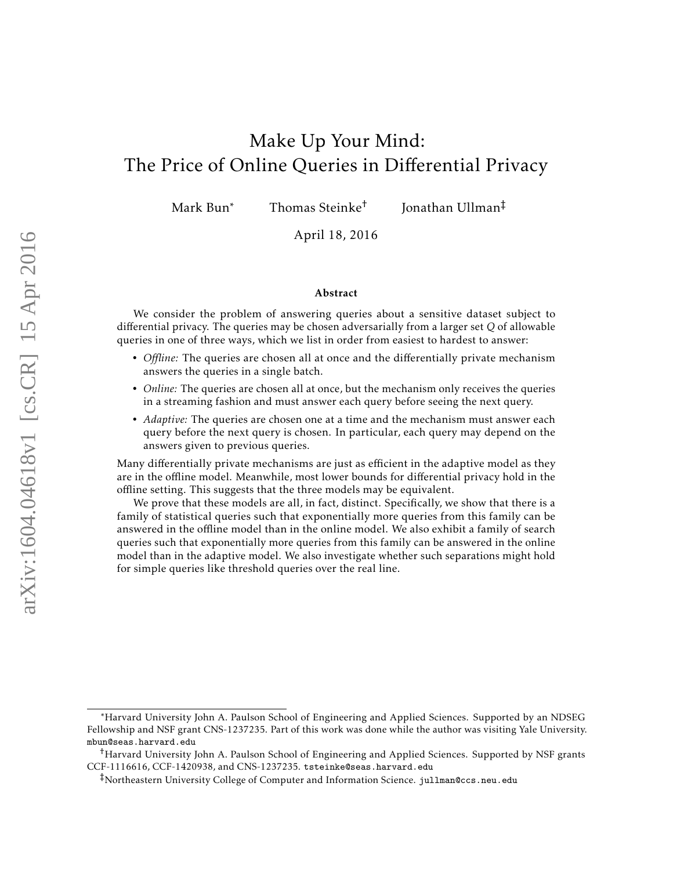# <span id="page-0-0"></span>Make Up Your Mind: The Price of Online Queries in Differential Privacy

Mark Bun<sup>∗</sup> Thomas Steinke<sup>†</sup>

Jonathan Ullman‡

April 18, 2016

#### Abstract

We consider the problem of answering queries about a sensitive dataset subject to differential privacy. The queries may be chosen adversarially from a larger set *Q* of allowable queries in one of three ways, which we list in order from easiest to hardest to answer:

- *Offline:* The queries are chosen all at once and the differentially private mechanism answers the queries in a single batch.
- *Online:* The queries are chosen all at once, but the mechanism only receives the queries in a streaming fashion and must answer each query before seeing the next query.
- *Adaptive:* The queries are chosen one at a time and the mechanism must answer each query before the next query is chosen. In particular, each query may depend on the answers given to previous queries.

Many differentially private mechanisms are just as efficient in the adaptive model as they are in the offline model. Meanwhile, most lower bounds for differential privacy hold in the offline setting. This suggests that the three models may be equivalent.

We prove that these models are all, in fact, distinct. Specifically, we show that there is a family of statistical queries such that exponentially more queries from this family can be answered in the offline model than in the online model. We also exhibit a family of search queries such that exponentially more queries from this family can be answered in the online model than in the adaptive model. We also investigate whether such separations might hold for simple queries like threshold queries over the real line.

<sup>∗</sup>Harvard University John A. Paulson School of Engineering and Applied Sciences. Supported by an NDSEG Fellowship and NSF grant CNS-1237235. Part of this work was done while the author was visiting Yale University. mbun@seas.harvard.edu

<sup>†</sup>Harvard University John A. Paulson School of Engineering and Applied Sciences. Supported by NSF grants CCF-1116616, CCF-1420938, and CNS-1237235. tsteinke@seas.harvard.edu

<sup>‡</sup>Northeastern University College of Computer and Information Science. jullman@ccs.neu.edu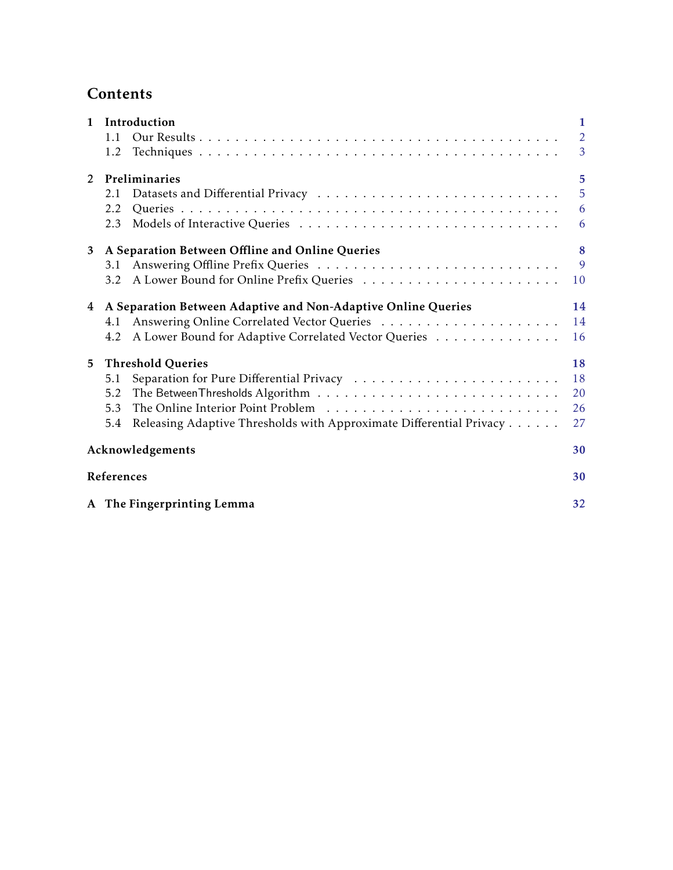# **Contents**

| $\mathbf{1}$ | Introduction                                                               | 1              |
|--------------|----------------------------------------------------------------------------|----------------|
|              | 1.1                                                                        | $\overline{2}$ |
|              | 1.2                                                                        | $\overline{3}$ |
| 2            | Preliminaries                                                              | 5              |
|              | 2.1                                                                        | 5              |
|              | 2.2                                                                        | 6              |
|              | 2.3                                                                        | 6              |
| 3            | A Separation Between Offline and Online Queries                            | 8              |
|              | 3.1                                                                        | 9              |
|              | 3.2                                                                        | 10             |
| 4            | A Separation Between Adaptive and Non-Adaptive Online Queries              | 14             |
|              | 4.1                                                                        | 14             |
|              | A Lower Bound for Adaptive Correlated Vector Queries<br>4.2                | 16             |
| 5            | <b>Threshold Queries</b>                                                   | 18             |
|              | 5.1                                                                        | 18             |
|              | 5.2                                                                        | 20             |
|              | 5.3                                                                        | 26             |
|              | Releasing Adaptive Thresholds with Approximate Differential Privacy<br>5.4 | 27             |
|              | Acknowledgements                                                           | 30             |
|              | References                                                                 | 30             |
|              | A The Fingerprinting Lemma                                                 | 32             |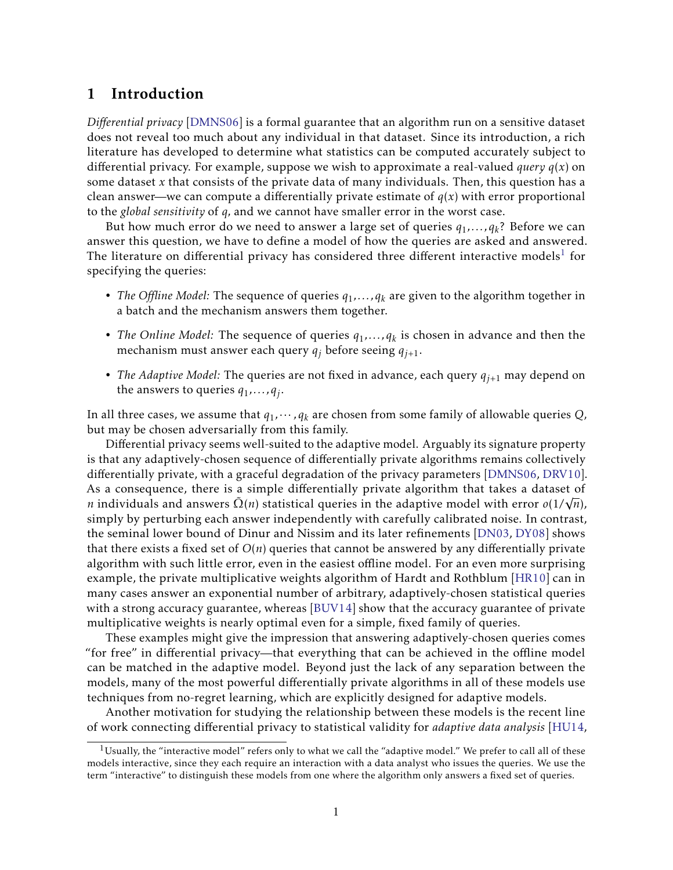# <span id="page-2-0"></span>1 Introduction

*Differential privacy* [\[DMNS06\]](#page-32-0) is a formal guarantee that an algorithm run on a sensitive dataset does not reveal too much about any individual in that dataset. Since its introduction, a rich literature has developed to determine what statistics can be computed accurately subject to differential privacy. For example, suppose we wish to approximate a real-valued *query*  $q(x)$  on some dataset *x* that consists of the private data of many individuals. Then, this question has a clean answer—we can compute a differentially private estimate of  $q(x)$  with error proportional to the *global sensitivity* of *q,* and we cannot have smaller error in the worst case.

But how much error do we need to answer a large set of queries *q*1*,...,q<sup>k</sup>* ? Before we can answer this question, we have to define a model of how the queries are asked and answered. The literature on differential privacy has considered three different interactive models $^1$  $^1$  for specifying the queries:

- *The Offline Model:* The sequence of queries *q*1*,...,q<sup>k</sup>* are given to the algorithm together in a batch and the mechanism answers them together.
- *The Online Model:* The sequence of queries *q*1*,...,q<sup>k</sup>* is chosen in advance and then the mechanism must answer each query  $q_j$  before seeing  $q_{j+1}$ .
- *The Adaptive Model:* The queries are not fixed in advance, each query *qj*+1 may depend on the answers to queries *q*1*,...,q<sup>j</sup>* .

In all three cases, we assume that *q*1*,*··· *,q<sup>k</sup>* are chosen from some family of allowable queries *Q*, but may be chosen adversarially from this family.

Differential privacy seems well-suited to the adaptive model. Arguably its signature property is that any adaptively-chosen sequence of differentially private algorithms remains collectively differentially private, with a graceful degradation of the privacy parameters [\[DMNS06,](#page-32-0) [DRV10\]](#page-32-1). As a consequence, there is a simple differentially private algorithm that takes a dataset of *n* individuals and answers  $\tilde{\Omega}(n)$  statistical queries in the adaptive model with error  $o(1/\sqrt{n})$ , simply by perturbing each answer independently with carefully calibrated noise. In contrast, the seminal lower bound of Dinur and Nissim and its later refinements [\[DN03,](#page-32-2) [DY08\]](#page-33-1) shows that there exists a fixed set of *O*(*n*) queries that cannot be answered by any differentially private algorithm with such little error, even in the easiest offline model. For an even more surprising example, the private multiplicative weights algorithm of Hardt and Rothblum [\[HR10\]](#page-33-2) can in many cases answer an exponential number of arbitrary, adaptively-chosen statistical queries with a strong accuracy guarantee, whereas [\[BUV14\]](#page-31-1) show that the accuracy guarantee of private multiplicative weights is nearly optimal even for a simple, fixed family of queries.

These examples might give the impression that answering adaptively-chosen queries comes "for free" in differential privacy—that everything that can be achieved in the offline model can be matched in the adaptive model. Beyond just the lack of any separation between the models, many of the most powerful differentially private algorithms in all of these models use techniques from no-regret learning, which are explicitly designed for adaptive models.

Another motivation for studying the relationship between these models is the recent line of work connecting differential privacy to statistical validity for *adaptive data analysis* [\[HU14,](#page-33-3)

<span id="page-2-1"></span><sup>&</sup>lt;sup>1</sup>Usually, the "interactive model" refers only to what we call the "adaptive model." We prefer to call all of these models interactive, since they each require an interaction with a data analyst who issues the queries. We use the term "interactive" to distinguish these models from one where the algorithm only answers a fixed set of queries.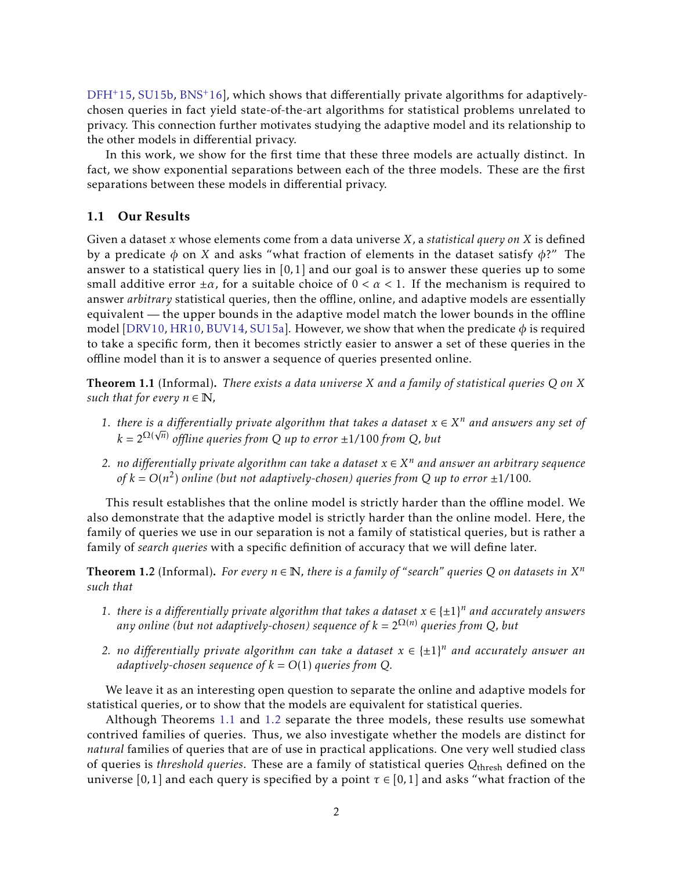[DFH](#page-32-3)<sup>+</sup>15, [SU15b,](#page-33-4) [BNS](#page-31-2)<sup>+</sup>16], which shows that differentially private algorithms for adaptivelychosen queries in fact yield state-of-the-art algorithms for statistical problems unrelated to privacy. This connection further motivates studying the adaptive model and its relationship to the other models in differential privacy.

In this work, we show for the first time that these three models are actually distinct. In fact, we show exponential separations between each of the three models. These are the first separations between these models in differential privacy.

# <span id="page-3-0"></span>1.1 Our Results

Given a dataset *x* whose elements come from a data universe *X*, a *statistical query on X* is defined by a predicate *φ* on *X* and asks "what fraction of elements in the dataset satisfy *φ*?" The answer to a statistical query lies in [0*,*1] and our goal is to answer these queries up to some small additive error  $\pm \alpha$ , for a suitable choice of  $0 < \alpha < 1$ . If the mechanism is required to answer *arbitrary* statistical queries, then the offline, online, and adaptive models are essentially equivalent — the upper bounds in the adaptive model match the lower bounds in the offline model [\[DRV10,](#page-32-1) [HR10,](#page-33-2) [BUV14,](#page-31-1) [SU15a\]](#page-33-5). However, we show that when the predicate  $\phi$  is required to take a specific form, then it becomes strictly easier to answer a set of these queries in the offline model than it is to answer a sequence of queries presented online.

<span id="page-3-1"></span>Theorem 1.1 (Informal). *There exists a data universe X and a family of statistical queries Q on X such that for every*  $n \in \mathbb{N}$ *,* 

- *1. there is a differentially private algorithm that takes a dataset*  $x \in X^n$  *and answers any set of k* = 2Ω( *n*) *offline queries from Q up to error* ±1*/*100 *from Q, but*
- *2. no differentially private algorithm can take a dataset*  $x \in X^n$  *and answer an arbitrary sequence* of  $k = O(n^2)$  online (but not adaptively-chosen) queries from Q up to error  $\pm 1/100$ .

This result establishes that the online model is strictly harder than the offline model. We also demonstrate that the adaptive model is strictly harder than the online model. Here, the family of queries we use in our separation is not a family of statistical queries, but is rather a family of *search queries* with a specific definition of accuracy that we will define later.

<span id="page-3-2"></span>**Theorem 1.2** (Informal). For every  $n \in \mathbb{N}$ , there is a family of "search" queries Q on datasets in  $X^n$ *such that*

- 1. *there is a differentially private algorithm that takes a dataset*  $x \in \{\pm 1\}^n$  and accurately answers *any online (but not adaptively-chosen) sequence of*  $k = 2^{\Omega(n)}$  *queries from Q, but*
- 2. *no differentially private algorithm can take a dataset*  $x \in \{\pm 1\}^n$  and accurately answer an *adaptively-chosen sequence of*  $k = O(1)$  *queries from Q.*

We leave it as an interesting open question to separate the online and adaptive models for statistical queries, or to show that the models are equivalent for statistical queries.

Although Theorems [1.1](#page-3-1) and [1.2](#page-3-2) separate the three models, these results use somewhat contrived families of queries. Thus, we also investigate whether the models are distinct for *natural* families of queries that are of use in practical applications. One very well studied class of queries is *threshold queries*. These are a family of statistical queries *Q*thresh defined on the universe [0,1] and each query is specified by a point  $\tau \in [0,1]$  and asks "what fraction of the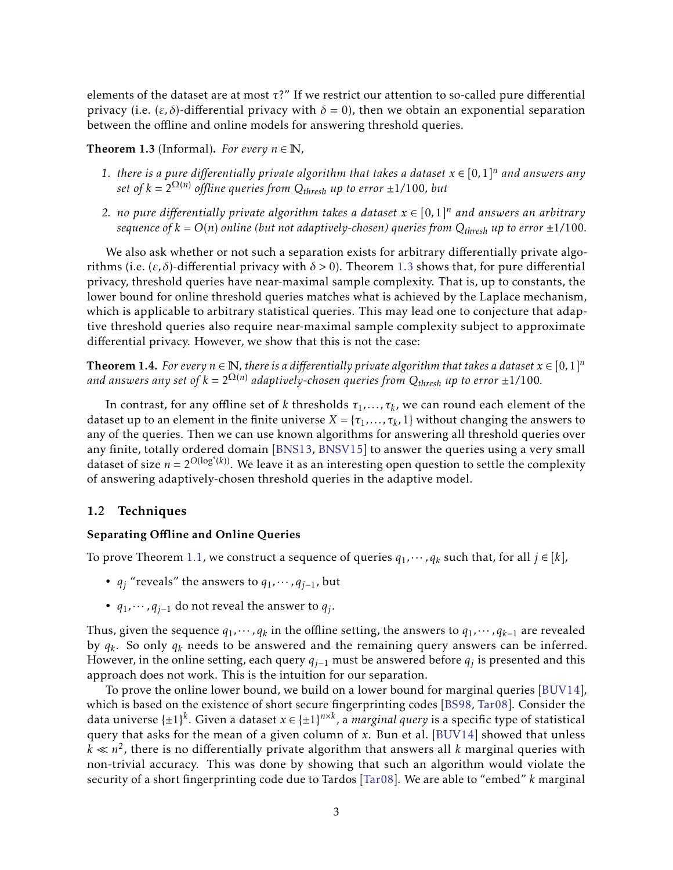elements of the dataset are at most *τ*?" If we restrict our attention to so-called pure differential privacy (i.e.  $(\varepsilon, \delta)$ -differential privacy with  $\delta = 0$ ), then we obtain an exponential separation between the offline and online models for answering threshold queries.

<span id="page-4-1"></span>**Theorem 1.3** (Informal). *For every*  $n \in \mathbb{N}$ ,

- 1. *there is a pure differentially private algorithm that takes a dataset*  $x \in [0,1]^n$  and answers any *set of*  $k = 2^{\Omega(n)}$  *offline queries from*  $Q_{thresh}$  *up to error*  $\pm 1/100$ *, but*
- *2. no pure differentially private algorithm takes a dataset*  $x \in [0,1]^n$  *and answers an arbitrary sequence of*  $k = O(n)$  *online (but not adaptively-chosen) queries from*  $Q_{thresh}$  *up to error*  $\pm 1/100$ *.*

We also ask whether or not such a separation exists for arbitrary differentially private algorithms (i.e. (*ε, δ*)-differential privacy with *δ >* 0). Theorem [1.3](#page-4-1) shows that, for pure differential privacy, threshold queries have near-maximal sample complexity. That is, up to constants, the lower bound for online threshold queries matches what is achieved by the Laplace mechanism, which is applicable to arbitrary statistical queries. This may lead one to conjecture that adaptive threshold queries also require near-maximal sample complexity subject to approximate differential privacy. However, we show that this is not the case:

**Theorem 1.4.** *For every*  $n \in \mathbb{N}$ , *there is a differentially private algorithm that takes a dataset*  $x \in [0,1]^n$ and answers any set of  $k = 2^{\Omega(n)}$  adaptively-chosen queries from  $Q_{thresh}$  up to error  $\pm 1/100$ .

In contrast, for any offline set of *k* thresholds  $\tau_1, \ldots, \tau_k$ , we can round each element of the dataset up to an element in the finite universe  $X = \{\tau_1, \ldots, \tau_k, 1\}$  without changing the answers to any of the queries. Then we can use known algorithms for answering all threshold queries over any finite, totally ordered domain [\[BNS13,](#page-31-3) [BNSV15\]](#page-31-4) to answer the queries using a very small dataset of size  $n = 2^{O(\log^*(k))}$ . We leave it as an interesting open question to settle the complexity of answering adaptively-chosen threshold queries in the adaptive model.

#### <span id="page-4-0"></span>1.2 Techniques

#### Separating Offline and Online Queries

To prove Theorem [1.1,](#page-3-1) we construct a sequence of queries  $q_1, \dots, q_k$  such that, for all  $j \in [k]$ ,

- $q_i$  "reveals" the answers to  $q_1, \dots, q_{j-1}$ , but
- $q_1$ ,  $\cdots$ ,  $q_{j-1}$  do not reveal the answer to  $q_j$ .

Thus, given the sequence  $q_1, \cdots, q_k$  in the offline setting, the answers to  $q_1, \cdots, q_{k-1}$  are revealed by *q<sup>k</sup>* . So only *q<sup>k</sup>* needs to be answered and the remaining query answers can be inferred. However, in the online setting, each query *qj*−<sup>1</sup> must be answered before *q<sup>j</sup>* is presented and this approach does not work. This is the intuition for our separation.

To prove the online lower bound, we build on a lower bound for marginal queries [\[BUV14\]](#page-31-1), which is based on the existence of short secure fingerprinting codes [\[BS98,](#page-31-5) [Tar08\]](#page-33-6). Consider the data universe  $\{\pm 1\}^k$ . Given a dataset  $x \in {\{\pm 1\}^{n \times k}}$ , a *marginal query* is a specific type of statistical query that asks for the mean of a given column of *x*. Bun et al. [\[BUV14\]](#page-31-1) showed that unless  $k \ll n^2$ , there is no differentially private algorithm that answers all *k* marginal queries with non-trivial accuracy. This was done by showing that such an algorithm would violate the security of a short fingerprinting code due to Tardos [\[Tar08\]](#page-33-6). We are able to "embed" *k* marginal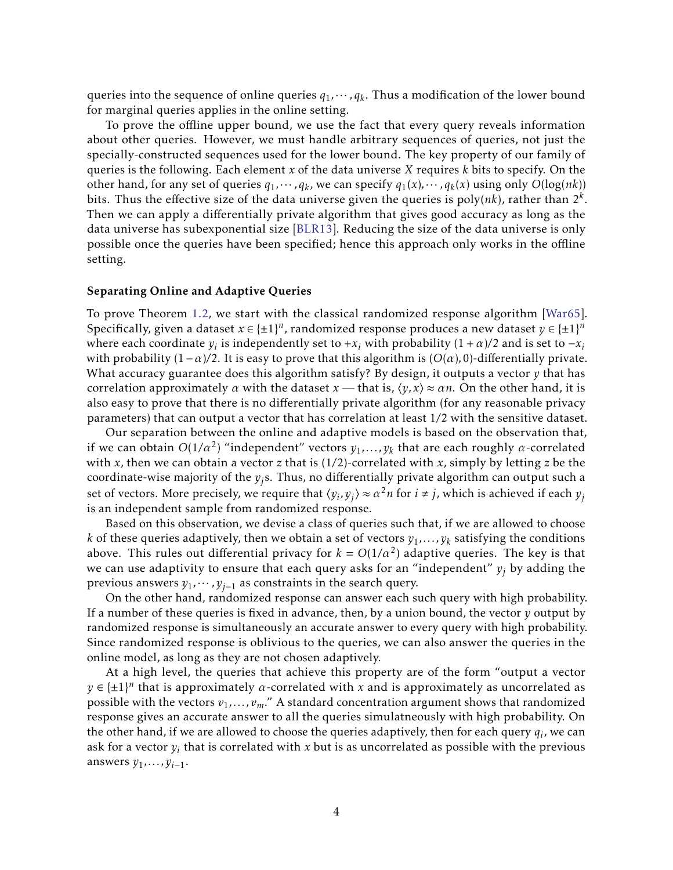queries into the sequence of online queries  $q_1, \cdots, q_k$ . Thus a modification of the lower bound for marginal queries applies in the online setting.

To prove the offline upper bound, we use the fact that every query reveals information about other queries. However, we must handle arbitrary sequences of queries, not just the specially-constructed sequences used for the lower bound. The key property of our family of queries is the following. Each element *x* of the data universe *X* requires *k* bits to specify. On the other hand, for any set of queries  $q_1, \dots, q_k$ , we can specify  $q_1(x), \dots, q_k(x)$  using only  $O(log(nk))$ bits. Thus the effective size of the data universe given the queries is  $\operatorname{poly}(nk)$ , rather than  $2^k$ . Then we can apply a differentially private algorithm that gives good accuracy as long as the data universe has subexponential size [\[BLR13\]](#page-31-6). Reducing the size of the data universe is only possible once the queries have been specified; hence this approach only works in the offline setting.

#### Separating Online and Adaptive Queries

To prove Theorem [1.2,](#page-3-2) we start with the classical randomized response algorithm [\[War65\]](#page-33-7). Specifically, given a dataset  $x \in \{\pm 1\}^n$ , randomized response produces a new dataset  $y \in \{\pm 1\}^n$ where each coordinate  $y_i$  is independently set to + $x_i$  with probability  $(1 + \alpha)/2$  and is set to  $-x_i$ with probability  $(1-\alpha)/2$ . It is easy to prove that this algorithm is  $(O(\alpha), 0)$ -differentially private. What accuracy guarantee does this algorithm satisfy? By design, it outputs a vector *y* that has correlation approximately *α* with the dataset  $x$  — that is,  $\langle y, x \rangle \approx \alpha n$ . On the other hand, it is also easy to prove that there is no differentially private algorithm (for any reasonable privacy parameters) that can output a vector that has correlation at least 1*/*2 with the sensitive dataset.

Our separation between the online and adaptive models is based on the observation that, if we can obtain  $O(1/\alpha^2)$  "independent" vectors  $y_1, \ldots, y_k$  that are each roughly  $\alpha$ -correlated with *x*, then we can obtain a vector *z* that is (1*/*2)-correlated with *x*, simply by letting *z* be the coordinate-wise majority of the *yj*s. Thus, no differentially private algorithm can output such a set of vectors. More precisely, we require that  $\langle y_i, y_j \rangle \approx \alpha^2 n$  for  $i \neq j$ , which is achieved if each  $y_j$ is an independent sample from randomized response.

Based on this observation, we devise a class of queries such that, if we are allowed to choose *k* of these queries adaptively, then we obtain a set of vectors  $y_1, \ldots, y_k$  satisfying the conditions above. This rules out differential privacy for  $k = O(1/\alpha^2)$  adaptive queries. The key is that we can use adaptivity to ensure that each query asks for an "independent" *y<sup>j</sup>* by adding the previous answers *y*1*,*··· *,yj*−<sup>1</sup> as constraints in the search query.

On the other hand, randomized response can answer each such query with high probability. If a number of these queries is fixed in advance, then, by a union bound, the vector *y* output by randomized response is simultaneously an accurate answer to every query with high probability. Since randomized response is oblivious to the queries, we can also answer the queries in the online model, as long as they are not chosen adaptively.

At a high level, the queries that achieve this property are of the form "output a vector  $y \in {\pm 1}^n$  that is approximately *α*-correlated with *x* and is approximately as uncorrelated as possible with the vectors  $v_1, \ldots, v_m$ ." A standard concentration argument shows that randomized response gives an accurate answer to all the queries simulatneously with high probability. On the other hand, if we are allowed to choose the queries adaptively, then for each query  $q_i$ , we can ask for a vector  $y_i$  that is correlated with  $x$  but is as uncorrelated as possible with the previous answers *y*1*,...,yi*−1.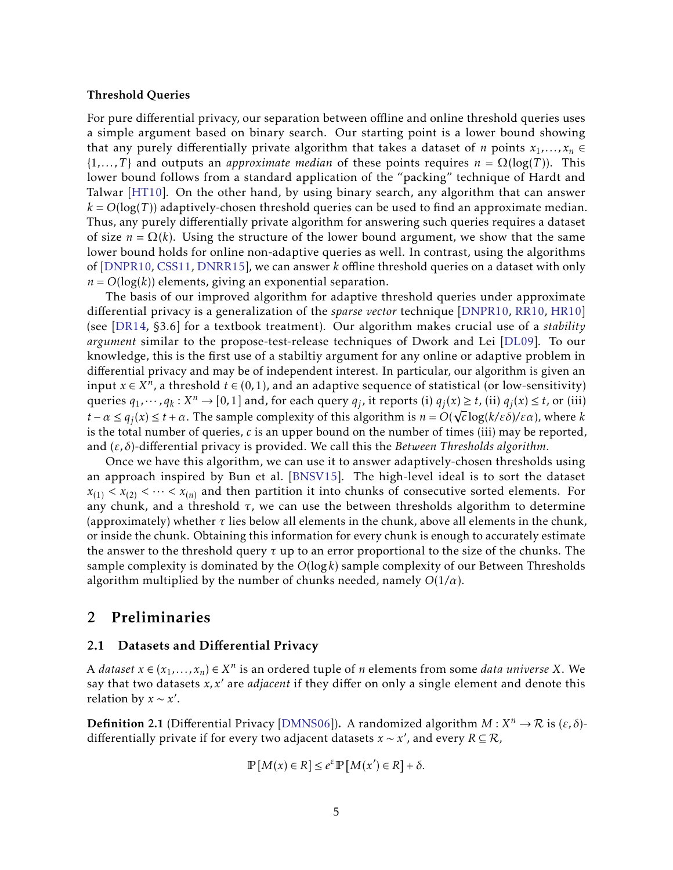#### Threshold Queries

For pure differential privacy, our separation between offline and online threshold queries uses a simple argument based on binary search. Our starting point is a lower bound showing that any purely differentially private algorithm that takes a dataset of *n* points  $x_1, \ldots, x_n \in$  $\{1,\ldots,T\}$  and outputs an *approximate median* of these points requires  $n = \Omega(\log(T))$ . This lower bound follows from a standard application of the "packing" technique of Hardt and Talwar [\[HT10\]](#page-33-8). On the other hand, by using binary search, any algorithm that can answer  $k = O(\log(T))$  adaptively-chosen threshold queries can be used to find an approximate median. Thus, any purely differentially private algorithm for answering such queries requires a dataset of size  $n = \Omega(k)$ . Using the structure of the lower bound argument, we show that the same lower bound holds for online non-adaptive queries as well. In contrast, using the algorithms of [\[DNPR10,](#page-32-4) [CSS11,](#page-32-5) [DNRR15\]](#page-32-6), we can answer *k* offline threshold queries on a dataset with only  $n = O(log(k))$  elements, giving an exponential separation.

The basis of our improved algorithm for adaptive threshold queries under approximate differential privacy is a generalization of the *sparse vector* technique [\[DNPR10,](#page-32-4) [RR10,](#page-33-9) [HR10\]](#page-33-2) (see [\[DR14,](#page-32-7) §3.6] for a textbook treatment). Our algorithm makes crucial use of a *stability argument* similar to the propose-test-release techniques of Dwork and Lei [\[DL09\]](#page-32-8). To our knowledge, this is the first use of a stabiltiy argument for any online or adaptive problem in differential privacy and may be of independent interest. In particular, our algorithm is given an input  $x ∈ X<sup>n</sup>$ , a threshold  $t ∈ (0,1)$ , and an adaptive sequence of statistical (or low-sensitivity) queries  $q_1, \dots, q_k : X^n \to [0,1]$  and, for each query  $q_j$ , it reports (i)  $q_j(x) \ge t$ , (ii)  $q_j(x) \le t$ , or (iii) *t* − *α* ≤ *q*<sub>*j*</sub>(*x*) ≤ *t* + *α*. The sample complexity of this algorithm is *n* =  $O(\sqrt{c} \log(k/\epsilon \delta)/\epsilon \alpha)$ , where *k* is the total number of queries, *c* is an upper bound on the number of times (iii) may be reported, and (*ε, δ*)-differential privacy is provided. We call this the *Between Thresholds algorithm*.

Once we have this algorithm, we can use it to answer adaptively-chosen thresholds using an approach inspired by Bun et al. [\[BNSV15\]](#page-31-4). The high-level ideal is to sort the dataset  $x_{(1)} < x_{(2)} < \cdots < x_{(n)}$  and then partition it into chunks of consecutive sorted elements. For any chunk, and a threshold *τ*, we can use the between thresholds algorithm to determine (approximately) whether *τ* lies below all elements in the chunk, above all elements in the chunk, or inside the chunk. Obtaining this information for every chunk is enough to accurately estimate the answer to the threshold query *τ* up to an error proportional to the size of the chunks. The sample complexity is dominated by the *O*(log*k*) sample complexity of our Between Thresholds algorithm multiplied by the number of chunks needed, namely *O*(1*/α*).

# <span id="page-6-0"></span>2 Preliminaries

## <span id="page-6-1"></span>2.1 Datasets and Differential Privacy

A *dataset*  $x \in (x_1, \ldots, x_n) \in X^n$  is an ordered tuple of *n* elements from some *data universe* X. We say that two datasets *x*, *x'* are *adjacent* if they differ on only a single element and denote this relation by  $x \sim x'$ .

**Definition 2.1** (Differential Privacy [\[DMNS06\]](#page-32-0)). A randomized algorithm  $M: X^n \to \mathcal{R}$  is  $(\varepsilon, \delta)$ differentially private if for every two adjacent datasets *x* ∼ *x* 0 , and every *R* ⊆ R,

$$
\mathbb{P}[M(x) \in R] \le e^{\varepsilon} \mathbb{P}[M(x') \in R] + \delta.
$$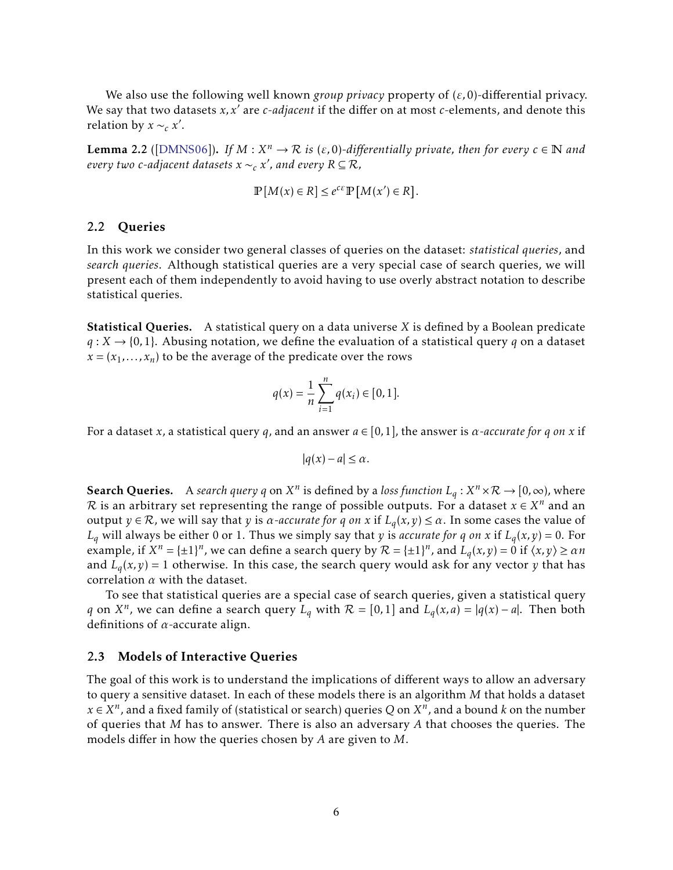We also use the following well known *group privacy* property of (*ε,*0)-differential privacy. We say that two datasets  $x, x'$  are *c*-*adjacent* if the differ on at most *c*-elements, and denote this relation by  $x \sim_c x'$ .

**Lemma 2.2** ([\[DMNS06\]](#page-32-0)). *If*  $M : X^n \to \mathcal{R}$  *is* ( $\varepsilon$ ,0)-differentially private, then for every  $c \in \mathbb{N}$  and *every two c-adjacent datasets x* ∼*<sup>c</sup> x* 0 *, and every R* ⊆ R*,*

$$
\mathbb{P}[M(x) \in R] \le e^{c \varepsilon} \mathbb{P}[M(x') \in R].
$$

#### <span id="page-7-0"></span>2.2 Queries

In this work we consider two general classes of queries on the dataset: *statistical queries*, and *search queries*. Although statistical queries are a very special case of search queries, we will present each of them independently to avoid having to use overly abstract notation to describe statistical queries.

Statistical Queries. A statistical query on a data universe *X* is defined by a Boolean predicate  $q: X \rightarrow \{0,1\}$ . Abusing notation, we define the evaluation of a statistical query *q* on a dataset  $x = (x_1, \ldots, x_n)$  to be the average of the predicate over the rows

$$
q(x) = \frac{1}{n} \sum_{i=1}^{n} q(x_i) \in [0, 1].
$$

For a dataset *x*, a statistical query *q*, and an answer *a* ∈ [0*,*1], the answer is *α-accurate for q on x* if

$$
|q(x)-a|\leq \alpha.
$$

Search Queries. A *search query* q on  $X^n$  is defined by a *loss function*  $L_q: X^n \times \mathcal{R} \to [0, \infty)$ , where  $\mathcal R$  is an arbitrary set representing the range of possible outputs. For a dataset  $x\in X^n$  and an output *y* ∈ R, we will say that *y* is *α-accurate for q on x* if *L<sup>q</sup>* (*x,y*) ≤ *α*. In some cases the value of  $L_q$  will always be either 0 or 1. Thus we simply say that *y* is *accurate for q on x* if  $L_q(x, y) = 0$ . For example, if  $X^n = {\pm 1}^n$ , we can define a search query by  $\mathcal{R} = {\pm 1}^n$ , and  $L_q(x, y) = 0$  if  $\langle x, y \rangle \ge \alpha n$ and  $L_q(x, y) = 1$  otherwise. In this case, the search query would ask for any vector  $y$  that has correlation *α* with the dataset.

To see that statistical queries are a special case of search queries, given a statistical query *q* on  $X^n$ , we can define a search query  $L_q$  with  $\mathcal{R} = [0,1]$  and  $L_q(x,a) = |q(x) - a|$ . Then both definitions of *α*-accurate align.

#### <span id="page-7-1"></span>2.3 Models of Interactive Queries

The goal of this work is to understand the implications of different ways to allow an adversary to query a sensitive dataset. In each of these models there is an algorithm *M* that holds a dataset  $x \in X^n$  , and a fixed family of (statistical or search) queries  $Q$  on  $X^n$  , and a bound  $k$  on the number of queries that *M* has to answer. There is also an adversary *A* that chooses the queries. The models differ in how the queries chosen by *A* are given to *M*.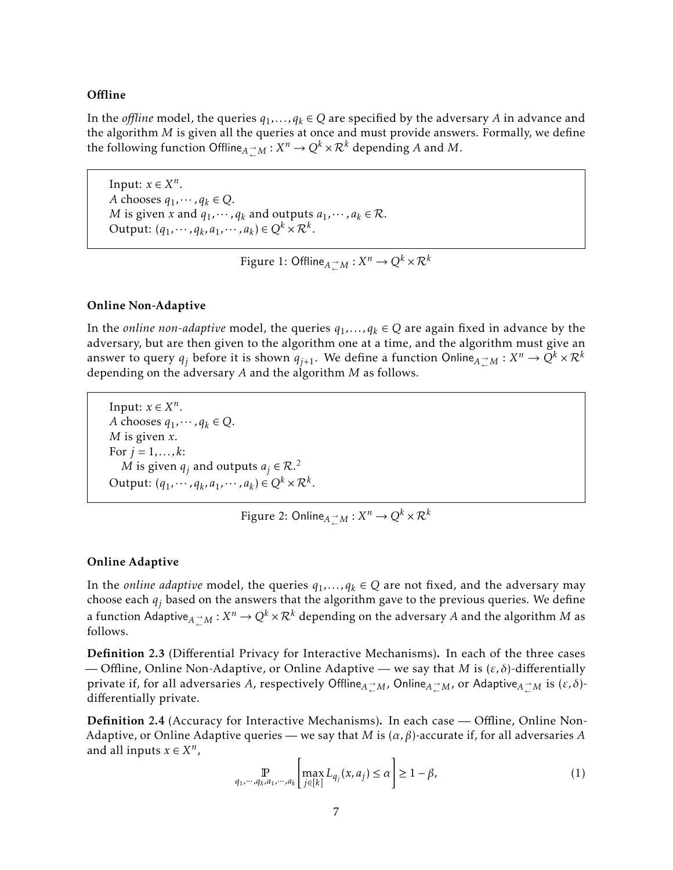## **Offline**

In the *offline* model, the queries  $q_1, \ldots, q_k \in Q$  are specified by the adversary *A* in advance and the algorithm *M* is given all the queries at once and must provide answers. Formally, we define the following function  $\text{Offline}_{A \to M}: X^n \to Q^k \times \mathcal{R}^k$  depending *A* and *M*.

Input:  $x \in X^n$ . *A* chooses  $q_1, \dots, q_k \in Q$ . *M* is given *x* and  $q_1, \dots, q_k$  and outputs  $a_1, \dots, a_k \in \mathcal{R}$ . Output:  $(q_1, \dots, q_k, a_1, \dots, a_k) \in Q^k \times \mathcal{R}^k$ .

Figure 1: Offline ${}_{A\atop \leftarrow}$   ${}_{M} : X^{n} \rightarrow Q^{k} \! \times \! \mathcal{R}^{k}$ 

## Online Non-Adaptive

In the *online non-adaptive* model, the queries  $q_1, \ldots, q_k \in Q$  are again fixed in advance by the adversary, but are then given to the algorithm one at a time, and the algorithm must give an answer to query  $q_j$  before it is shown  $q_{j+1}.$  We define a function Online ${}_{A}$   $\to$   ${}_{A}$   $:$   $X^n$   $\to$   ${}_{A}$  ${}^{k}$   $\times$   ${}_{R}$  ${}^{k}$ depending on the adversary *A* and the algorithm *M* as follows.

Input:  $x \in X^n$ . *A* chooses  $q_1, \dots, q_k \in Q$ . *M* is given *x*. For  $j = 1, ..., k$ :  $M$  is given  $q_j$  and outputs  $a_j \in \mathcal{R}^{2,2}$  $a_j \in \mathcal{R}^{2,2}$  $a_j \in \mathcal{R}^{2,2}$ Output:  $(q_1, \dots, q_k, a_1, \dots, a_k) \in Q^k \times \mathcal{R}^k$ .

Figure 2: Online ${}_{A\atop \leftarrow}$   ${}_{M} : X^{n} \rightarrow Q^{k} \times \mathcal{R}^{k}$ 

#### Online Adaptive

In the *online adaptive* model, the queries  $q_1, \ldots, q_k \in Q$  are not fixed, and the adversary may choose each *q<sup>j</sup>* based on the answers that the algorithm gave to the previous queries. We define a function Adaptive ${}_{A}$   $\substack{\rightarrow \\ {\sim}}$   $M: X^n \to Q^k \times \mathcal{R}^k$  depending on the adversary  $A$  and the algorithm  $M$  as follows.

Definition 2.3 (Differential Privacy for Interactive Mechanisms). In each of the three cases — Offline, Online Non-Adaptive, or Online Adaptive — we say that *M* is (*ε, δ*)-differentially private if, for all adversaries *A*, respectively Offline*<sup>A</sup>* → <sup>←</sup> *<sup>M</sup>*, Online*<sup>A</sup>* → <sup>←</sup> *<sup>M</sup>*, or Adaptive*<sup>A</sup>* → <sup>←</sup> *<sup>M</sup>* is (*ε, δ*) differentially private.

Definition 2.4 (Accuracy for Interactive Mechanisms). In each case — Offline, Online Non-Adaptive, or Online Adaptive queries — we say that *M* is (*α, β*)-accurate if, for all adversaries *A* and all inputs  $x \in X^n$ ,

<span id="page-8-0"></span>
$$
\mathop{\mathbb{P}}_{q_1,\cdots,q_k,a_1,\cdots,a_k} \left[ \max_{j \in [k]} L_{q_j}(x,a_j) \le \alpha \right] \ge 1 - \beta,\tag{1}
$$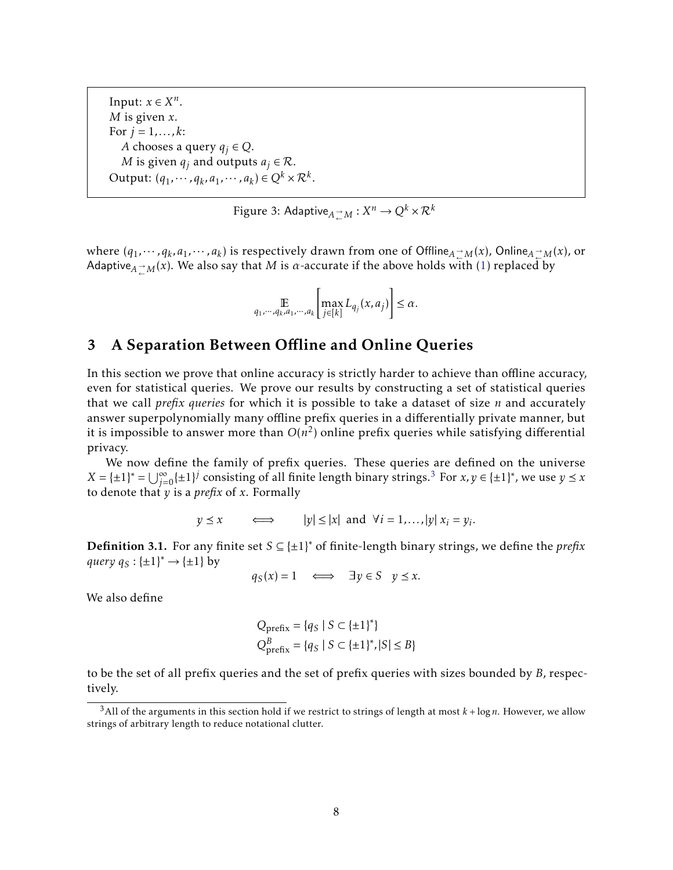Input:  $x \in X^n$ . *M* is given *x*. For  $j = 1, ..., k$ : *A* chooses a query  $q_j \in Q$ . *M* is given  $q_j$  and outputs  $a_j \in \mathcal{R}$ . Output:  $(q_1, \dots, q_k, a_1, \dots, a_k) \in Q^k \times \mathcal{R}^k$ .

<span id="page-9-2"></span>Figure 3: Adaptive ${_{A}}_{\leftarrow}^{\rightarrow}{}{M}$  :  $X^{n}\rightarrow{}Q^{k}\times\mathcal{R}^{k}$ 

where  $(q_1, \dots, q_k, a_1, \dots, a_k)$  is respectively drawn from one of Offline $_A \nightharpoonup_M(x)$ , Online $_A \nightharpoonup_M(x)$ , or Adaptive ${}_{A \rightharpoonup^{\sim} M} (x)$ . We also say that  $M$  is  $\alpha$ -accurate if the above holds with  $(1)$  replaced by

$$
\mathop{\mathbb{E}}_{q_1,\cdots,q_k,a_1,\cdots,a_k} \left[ \max_{j \in [k]} L_{q_j}(x,a_j) \right] \leq \alpha.
$$

# <span id="page-9-0"></span>3 A Separation Between Offline and Online Queries

In this section we prove that online accuracy is strictly harder to achieve than offline accuracy, even for statistical queries. We prove our results by constructing a set of statistical queries that we call *prefix queries* for which it is possible to take a dataset of size *n* and accurately answer superpolynomially many offline prefix queries in a differentially private manner, but it is impossible to answer more than  $O(n^2)$  online prefix queries while satisfying differential privacy.

We now define the family of prefix queries. These queries are defined on the universe  $X = \{\pm 1\}^* = \bigcup_{j=0}^{\infty} {\{\pm 1\}}^j$  consisting of all finite length binary strings.<sup>[3](#page-9-1)</sup> For  $x, y \in {\{\pm 1\}}^*$ , we use  $y \le x$ to denote that *y* is a *prefix* of *x*. Formally

$$
y \le x
$$
  $\iff$   $|y| \le |x|$  and  $\forall i = 1,...,|y| \ x_i = y_i$ .

Definition 3.1. For any finite set *S* ⊆ {±1} <sup>∗</sup> of finite-length binary strings, we define the *prefix*  $query q_S : {\pm 1}^* \rightarrow {\pm 1}$  by

$$
q_S(x) = 1 \quad \Longleftrightarrow \quad \exists y \in S \quad y \le x.
$$

We also define

$$
Q_{\text{prefix}} = \{q_S \mid S \subset \{\pm 1\}^*\}
$$
  

$$
Q_{\text{prefix}}^B = \{q_S \mid S \subset \{\pm 1\}^*, |S| \le B\}
$$

to be the set of all prefix queries and the set of prefix queries with sizes bounded by *B*, respectively.

<span id="page-9-1"></span> $3$ All of the arguments in this section hold if we restrict to strings of length at most  $k + \log n$ . However, we allow strings of arbitrary length to reduce notational clutter.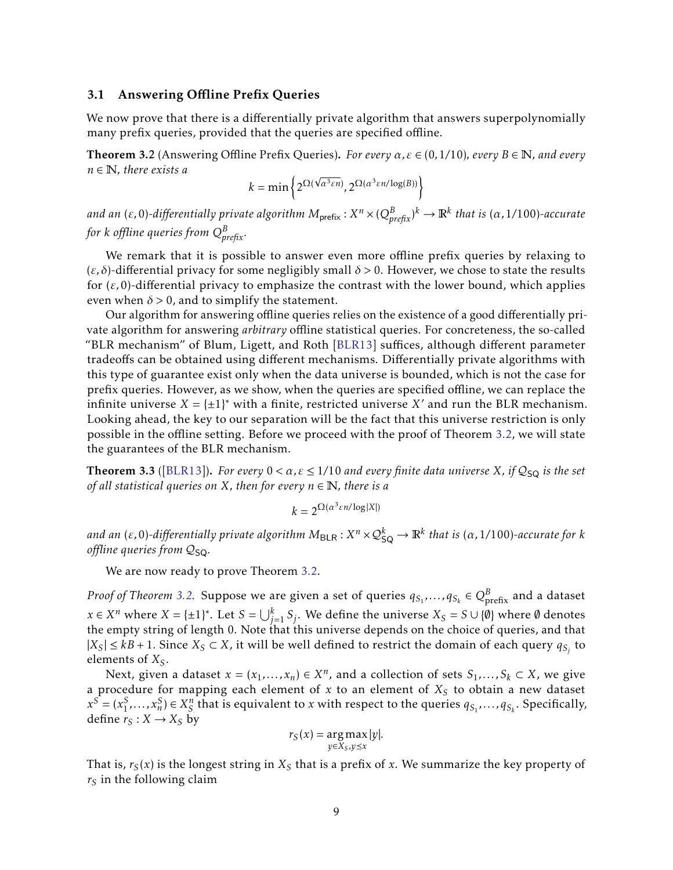#### <span id="page-10-0"></span>3.1 Answering Offline Prefix Queries

We now prove that there is a differentially private algorithm that answers superpolynomially many prefix queries, provided that the queries are specified offline.

<span id="page-10-1"></span>Theorem 3.2 (Answering Offline Prefix Queries). *For every α,ε* ∈ (0*,*1*/*10)*, every B* ∈ N*, and every n* ∈ N*, there exists a*

$$
k = \min\left\{2^{\Omega(\sqrt{\alpha^3 \varepsilon n})}, 2^{\Omega(\alpha^3 \varepsilon n/\log(B))}\right\}
$$

and an (ε,0)-differentially private algorithm  $M_{\sf prefix}$  :  $X^n\times (Q^B_{prefix})^k\to \mathbb{R}^k$  that is (α,1/100)-accurate *for k offline queries from Q<sup>B</sup> prefix.*

We remark that it is possible to answer even more offline prefix queries by relaxing to (*ε, δ*)-differential privacy for some negligibly small *δ >* 0. However, we chose to state the results for (*ε,*0)-differential privacy to emphasize the contrast with the lower bound, which applies even when  $\delta > 0$ , and to simplify the statement.

Our algorithm for answering offline queries relies on the existence of a good differentially private algorithm for answering *arbitrary* offline statistical queries. For concreteness, the so-called "BLR mechanism" of Blum, Ligett, and Roth [\[BLR13\]](#page-31-6) suffices, although different parameter tradeoffs can be obtained using different mechanisms. Differentially private algorithms with this type of guarantee exist only when the data universe is bounded, which is not the case for prefix queries. However, as we show, when the queries are specified offline, we can replace the infinite universe  $X = \{\pm 1\}^*$  with a finite, restricted universe  $X'$  and run the BLR mechanism. Looking ahead, the key to our separation will be the fact that this universe restriction is only possible in the offline setting. Before we proceed with the proof of Theorem [3.2,](#page-10-1) we will state the guarantees of the BLR mechanism.

**Theorem 3.3** ([\[BLR13\]](#page-31-6)). *For every*  $0 < \alpha$ ,  $\varepsilon \le 1/10$  *and every finite data universe X, if*  $Q_{SQ}$  *is the set of all statistical queries on*  $X$ *, then for every*  $n \in \mathbb{N}$ *, there is a* 

$$
k=2^{\Omega(\alpha^3 \varepsilon n/\log |X|)}
$$

 $a$ nd an (ε,0)-differentially private algorithm  $M_{\sf BLR}$  :  $X^n\times\mathcal{Q}_{\sf SQ}^k\to\mathbb{R}^k$  that is (α,1/100)-accurate for  $k$ *offline queries from*  $Q_{SO}$ *.* 

We are now ready to prove Theorem [3.2.](#page-10-1)

*Proof of Theorem [3.2.](#page-10-1)* Suppose we are given a set of queries  $q_{S_1},\ldots,q_{S_k} \in Q^B_{\text{prefix}}$  and a dataset *x* ∈ *X*<sup>*n*</sup> where *X* = {±1}\*. Let *S* = ∪ $\bigcup_{j=1}^{k} S_j$ . We define the universe *X<sub>S</sub>* = *S* ∪ {∅} where ∅ denotes the empty string of length 0. Note that this universe depends on the choice of queries, and that  $|X_S|$  ≤  $kB$  + 1. Since  $X_S$  ⊂  $X$ , it will be well defined to restrict the domain of each query  $q_{S_j}$  to elements of *XS*.

Next, given a dataset  $x = (x_1, \ldots, x_n) \in X^n$ , and a collection of sets  $S_1, \ldots, S_k \subset X$ , we give a procedure for mapping each element of *x* to an element of *X<sup>S</sup>* to obtain a new dataset  $x^S = (x_1^S, \ldots, x_n^S) \in X_S^n$  that is equivalent to x with respect to the queries  $q_{S_1}, \ldots, q_{S_k}$ . Specifically, define  $r_S: X \to X_S$  by

$$
r_S(x) = \underset{y \in X_S, y \leq x}{\arg \max |y|}.
$$

That is,  $r_S(x)$  is the longest string in  $X_S$  that is a prefix of x. We summarize the key property of  $r<sub>S</sub>$  in the following claim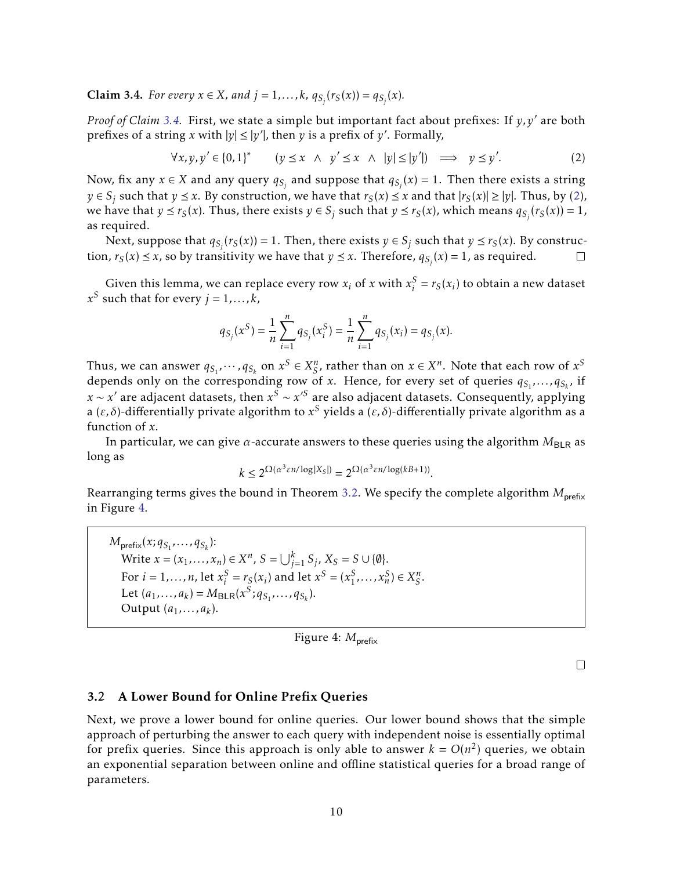<span id="page-11-1"></span>**Claim 3.4.** *For every*  $x \in X$ *, and*  $j = 1,...,k$ *,*  $q_{S_j}(r_S(x)) = q_{S_j}(x)$ *.* 

*Proof of Claim* [3.4.](#page-11-1) First, we state a simple but important fact about prefixes: If  $y, y'$  are both prefixes of a string *x* with  $|y| \le |y'|$ , then *y* is a prefix of *y'*. Formally,

<span id="page-11-2"></span>
$$
\forall x, y, y' \in \{0, 1\}^* \qquad (y \le x \ \land \ y' \le x \ \land \ |y| \le |y'|) \implies y \le y'. \tag{2}
$$

Now, fix any  $x \in X$  and any query  $q_{S_j}$  and suppose that  $q_{S_j}(x) = 1$ . Then there exists a string *y* ∈ *S*<sup>*j*</sup> such that *y*  $\le$  *x*. By construction, we have that *r*<sub>*S*</sub>(*x*)  $\le$  *x* and that  $|r_S(x)| \ge |y|$ . Thus, by [\(2\)](#page-11-2), we have that  $y \le r_S(x)$ . Thus, there exists  $y \in S_j$  such that  $y \le r_S(x)$ , which means  $q_{S_j}(r_S(x)) = 1$ , as required.

Next, suppose that  $q_{S_j}(r_S(x)) = 1$ . Then, there exists  $y \in S_j$  such that  $y \le r_S(x)$ . By construction,  $r_S(x) \le x$ , so by transitivity we have that  $y \le x$ . Therefore,  $q_{S_j}(x) = 1$ , as required.  $\Box$ 

Given this lemma, we can replace every row  $x_i$  of  $x$  with  $x_i^S$  $S_i^S = r_S(x_i)$  to obtain a new dataset  $x^S$  such that for every  $j = 1, \ldots, k$ ,

$$
q_{S_j}(x^S) = \frac{1}{n} \sum_{i=1}^n q_{S_j}(x_i^S) = \frac{1}{n} \sum_{i=1}^n q_{S_j}(x_i) = q_{S_j}(x).
$$

Thus, we can answer  $q_{S_1}, \cdots, q_{S_k}$  on  $x^S \in X_S^n$ , rather than on  $x \in X^n$ . Note that each row of  $x^S$ depends only on the corresponding row of *x*. Hence, for every set of queries  $q_{S_1},...,q_{S_k}$ , if *x* ∼ *x*' are adjacent datasets, then  $x^S$  ∼  $x'$ <sup>S</sup> are also adjacent datasets. Consequently, applying a (*ε, δ*)-differentially private algorithm to *x <sup>S</sup>* yields a (*ε, δ*)-differentially private algorithm as a function of *x*.

In particular, we can give *α*-accurate answers to these queries using the algorithm  $M_{BLR}$  as long as

$$
k \le 2^{\Omega(\alpha^3 \varepsilon n/\log|X_S|)} = 2^{\Omega(\alpha^3 \varepsilon n/\log(kB+1))}.
$$

Rearranging terms gives the bound in Theorem [3.2.](#page-10-1) We specify the complete algorithm  $M_{\text{prefix}}$ in Figure [4.](#page-11-3)

 $M_{\text{prefix}}(x; q_{S_1}, \ldots, q_{S_k})$ : Write *x* = (*x*<sub>1</sub>, ..., *x*<sub>*n*</sub>) ∈ *X*<sup>*n*</sup>, *S* = ∪ $\bigcup_{j=1}^{k} S_j$ , *X*<sub>*S*</sub> = *S* ∪ {**Ø**}. For  $i = 1, \ldots, n$ , let  $x_i^S$  $S_i^S = r_S(x_i)$  and let  $x^S = (x_1^S, \dots, x_n^S) \in X_S^n$ . Let  $(a_1, ..., a_k) = M_{\text{BLR}}(x^S; q_{S_1}, ..., q_{S_k}).$ Output (*a*1*,...,a<sup>k</sup>* ).

<span id="page-11-3"></span>Figure 4:  $M_{\text{prefix}}$ 

 $\Box$ 

## <span id="page-11-0"></span>3.2 A Lower Bound for Online Prefix Queries

Next, we prove a lower bound for online queries. Our lower bound shows that the simple approach of perturbing the answer to each query with independent noise is essentially optimal for prefix queries. Since this approach is only able to answer  $k = O(n^2)$  queries, we obtain an exponential separation between online and offline statistical queries for a broad range of parameters.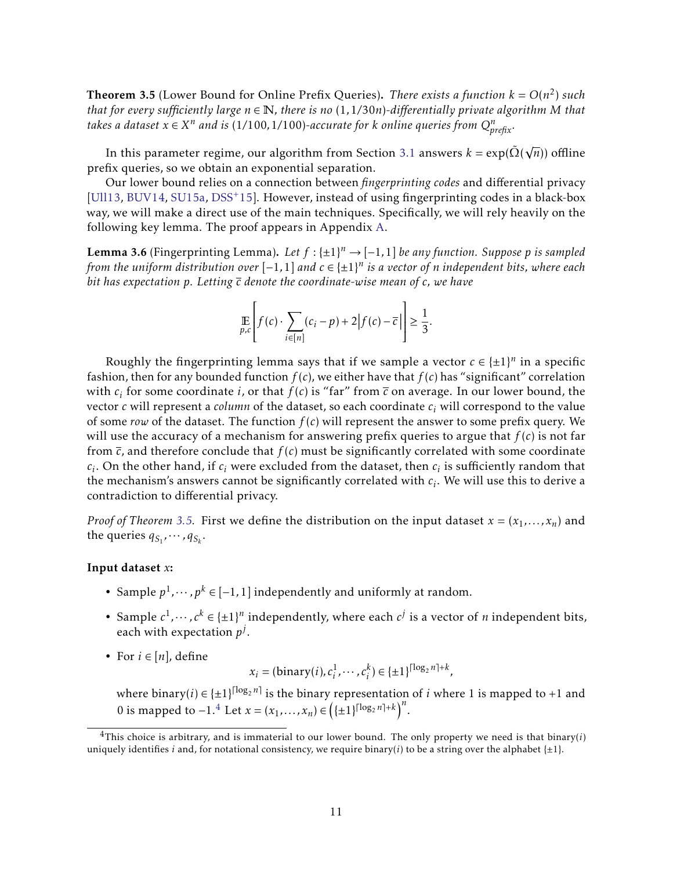<span id="page-12-0"></span>**Theorem 3.5** (Lower Bound for Online Prefix Queries). *There exists a function*  $k = O(n^2)$  *such that for every sufficiently large*  $n \in \mathbb{N}$ , there is no  $(1,1/30n)$ -differentially private algorithm M that *takes a dataset*  $x \in X^n$  *and is* (1/100,1/100)-accurate for *k* online queries from  $Q_{\text{prefix}}^n$ .

In this parameter regime, our algorithm from Section [3.1](#page-10-0) answers  $k = \exp(\tilde{\Omega})$ √ *n*)) offline prefix queries, so we obtain an exponential separation.

Our lower bound relies on a connection between *fingerprinting codes* and differential privacy [\[Ull13,](#page-33-10) [BUV14,](#page-31-1) [SU15a,](#page-33-5) [DSS](#page-32-9)+15]. However, instead of using fingerprinting codes in a black-box way, we will make a direct use of the main techniques. Specifically, we will rely heavily on the following key lemma. The proof appears in Appendix [A.](#page-33-0)

<span id="page-12-2"></span>**Lemma 3.6** (Fingerprinting Lemma). Let  $f: \{\pm 1\}^n \to [-1, 1]$  be any function. Suppose p is sampled *from the uniform distribution over* [−1*,*1] *and c* ∈ {±1} *n is a vector of n independent bits, where each bit has expectation p. Letting c denote the coordinate-wise mean of c, we have*

$$
\mathop{\mathbb{E}}_{p,c}\left[f(c)\cdot\sum_{i\in[n]}(c_i-p)+2\Big|f(c)-\overline{c}\Big|\right]\geq\frac{1}{3}.
$$

Roughly the fingerprinting lemma says that if we sample a vector  $c \in \{\pm 1\}^n$  in a specific fashion, then for any bounded function  $f(c)$ , we either have that  $f(c)$  has "significant" correlation with  $c_i$  for some coordinate *i*, or that  $f(c)$  is "far" from  $\bar{c}$  on average. In our lower bound, the vector *c* will represent a *column* of the dataset, so each coordinate *c<sup>i</sup>* will correspond to the value of some *row* of the dataset. The function  $f(c)$  will represent the answer to some prefix query. We will use the accuracy of a mechanism for answering prefix queries to argue that *f* (*c*) is not far from  $\bar{c}$ , and therefore conclude that  $f(c)$  must be significantly correlated with some coordinate  $c_i$ . On the other hand, if  $c_i$  were excluded from the dataset, then  $c_i$  is sufficiently random that the mechanism's answers cannot be significantly correlated with *c<sup>i</sup>* . We will use this to derive a contradiction to differential privacy.

*Proof of Theorem* [3.5.](#page-12-0) First we define the distribution on the input dataset  $x = (x_1, \ldots, x_n)$  and the queries  $q_{S_1}, \dots, q_{S_k}$ .

## Input dataset *x*:

- Sample  $p^1, \dots, p^k \in [-1, 1]$  independently and uniformly at random.
- Sample  $c^1, \dots, c^k \in \{\pm 1\}^n$  independently, where each  $c^j$  is a vector of *n* independent bits, each with expectation *p j* .
- For  $i \in [n]$ , define

 $x_i = (\text{binary}(i), c_i^1, \dots, c_i^k) \in \{\pm 1\}^{\lceil \log_2 n \rceil + k},$ 

where binary(*i*)  $\in \{\pm 1\}^{\lceil \log_2 n \rceil}$  is the binary representation of *i* where 1 is mapped to +1 and 0 is mapped to  $-1.^4$  $-1.^4$  Let  $x = (x_1, ..., x_n) \in (\{\pm 1\}^{\lceil \log_2 n \rceil + k})^n$ .

<span id="page-12-1"></span> $4$ This choice is arbitrary, and is immaterial to our lower bound. The only property we need is that binary( $i$ ) uniquely identifies *i* and, for notational consistency, we require binary(*i*) to be a string over the alphabet  $\{\pm 1\}$ .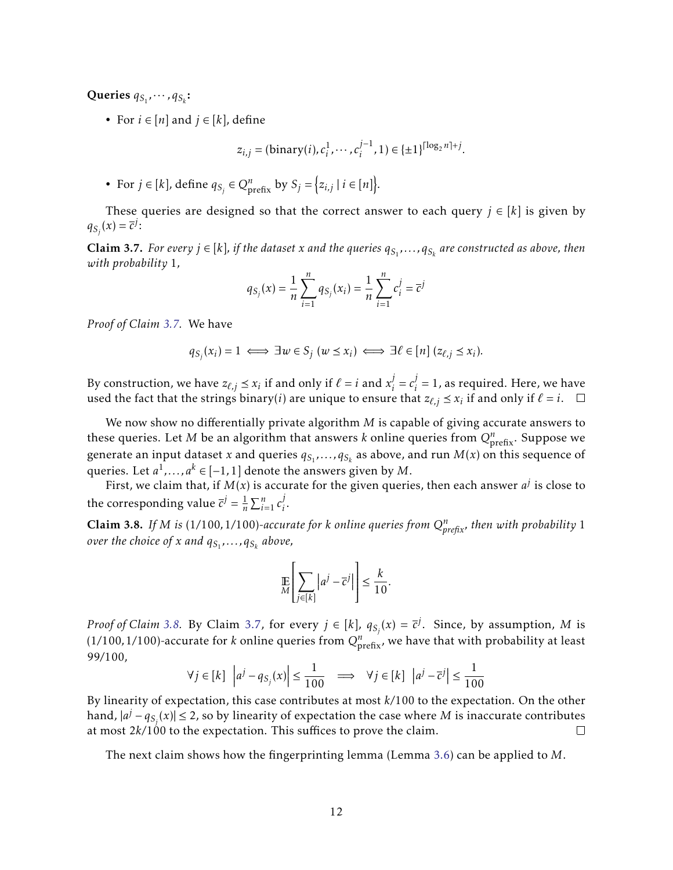Queries  $q_{S_1}, \cdots, q_{S_k}$ :

• For  $i \in [n]$  and  $j \in [k]$ , define

$$
z_{i,j} = (\text{binary}(i), c_i^1, \cdots, c_i^{j-1}, 1) \in \{\pm 1\}^{\lceil \log_2 n \rceil + j}.
$$

• For  $j \in [k]$ , define  $q_{S_j} \in Q_{\text{prefix}}^n$  by  $S_j = \{z_{i,j} | i \in [n]\}.$ 

These queries are designed so that the correct answer to each query  $j \in [k]$  is given by  $q_{S_j}(x) = \overline{c}^j$ :

<span id="page-13-0"></span>**Claim 3.7.** For every  $j \in [k]$ , if the dataset x and the queries  $q_{S_1},...,q_{S_k}$  are constructed as above, then *with probability* 1*,*

$$
q_{S_j}(x) = \frac{1}{n} \sum_{i=1}^n q_{S_j}(x_i) = \frac{1}{n} \sum_{i=1}^n c_i^j = \overline{c}^j
$$

*Proof of Claim [3.7.](#page-13-0)* We have

$$
q_{S_j}(x_i) = 1 \iff \exists w \in S_j \ (w \le x_i) \iff \exists \ell \in [n] \ (z_{\ell,j} \le x_i).
$$

By construction, we have  $z_{\ell,j} \preceq x_i$  if and only if  $\ell = i$  and  $x_i^j$  $i = c_i^j$  $j_i^{\prime} = 1$ , as required. Here, we have used the fact that the strings binary(*i*) are unique to ensure that  $z_{\ell,j} \leq x_i$  if and only if  $\ell = i$ .

We now show no differentially private algorithm *M* is capable of giving accurate answers to these queries. Let  $M$  be an algorithm that answers  $k$  online queries from  $Q_{\text{prefix}}^n$ . Suppose we generate an input dataset *x* and queries  $q_{S_1}, \ldots, q_{S_k}$  as above, and run  $M(x)$  on this sequence of queries. Let  $a^1, \ldots, a^k \in [-1,1]$  denote the answers given by  $M.$ 

First, we claim that, if  $M(x)$  is accurate for the given queries, then each answer  $a^j$  is close to the corresponding value  $\overline{c}^j = \frac{1}{n}$  $\frac{1}{n}\sum_{i=1}^n c_i^j$ *i* .

<span id="page-13-1"></span>**Claim 3.8.** If M is (1/100,1/100)-accurate for *k* online queries from  $Q_{\text{prefix}}^n$ , then with probability 1 *over the choice of x and qS*<sup>1</sup> *,...,qS<sup>k</sup> above,*

$$
\mathop{\mathbb{E}}_{M}\left[\sum_{j\in[k]} |a^j - \overline{c}^j|\right] \le \frac{k}{10}.
$$

*Proof of Claim* [3.8.](#page-13-1) By Claim [3.7,](#page-13-0) for every  $j \in [k]$ ,  $q_{S_j}(x) = \overline{c}^j$ . Since, by assumption, *M* is (1/100,1/100)-accurate for *k* online queries from  $Q_{\text{prefix}}^n$ , we have that with probability at least 99*/*100,

$$
\forall j \in [k] \ \left| a^j - q_{S_j}(x) \right| \le \frac{1}{100} \implies \forall j \in [k] \ \left| a^j - \overline{c}^j \right| \le \frac{1}{100}
$$

By linearity of expectation, this case contributes at most *k/*100 to the expectation. On the other hand,  $|a^{j}-q_{S_{j}}(x)| \leq 2$ , so by linearity of expectation the case where *M* is inaccurate contributes at most 2*k/*100 to the expectation. This suffices to prove the claim.  $\Box$ 

The next claim shows how the fingerprinting lemma (Lemma [3.6\)](#page-12-2) can be applied to *M*.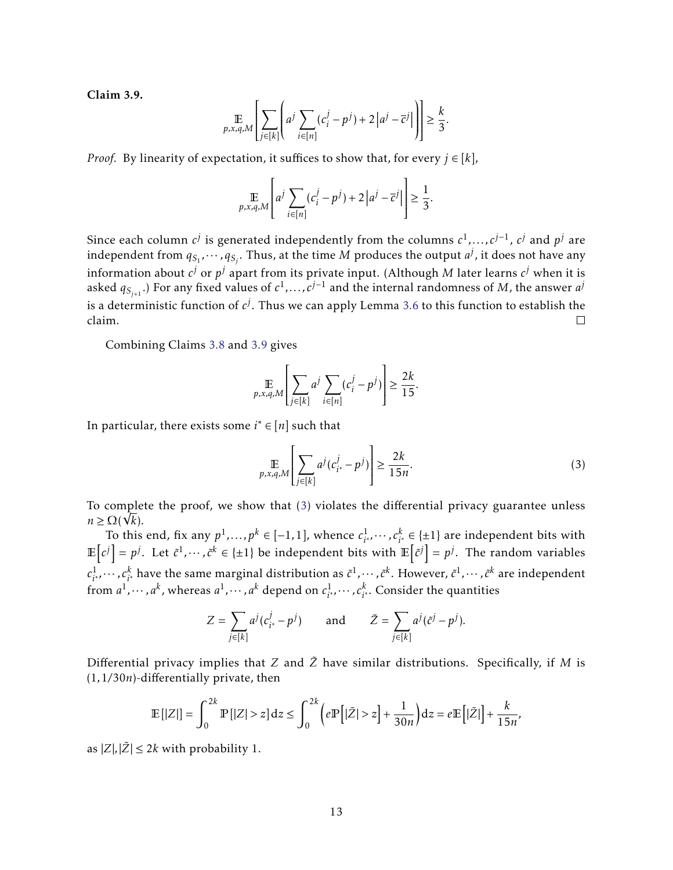<span id="page-14-0"></span>Claim 3.9.

$$
\mathop{\mathbb{E}}_{p,x,q,M}\left[\sum_{j\in[k]}\left(a^j\sum_{i\in[n]}(c_i^j-p^j)+2\left|a^j-\overline{c}^j\right|\right)\right]\geq\frac{k}{3}.
$$

*Proof.* By linearity of expectation, it suffices to show that, for every  $j \in [k]$ ,

$$
\mathop{\mathbb{E}}_{p,x,q,M}\left[a^j\sum_{i\in[n]}(c_i^j-p^j)+2\left|a^j-\overline{c}^j\right|\right]\geq\frac{1}{3}.
$$

Since each column  $c^j$  is generated independently from the columns  $c^1, \ldots, c^{j-1}$ ,  $c^j$  and  $p^j$  are independent from  $q_{S_1}, \cdots, q_{S_j}.$  Thus, at the time  $M$  produces the output  $a^j$ , it does not have any information about  $c^j$  or  $p^j$  apart from its private input. (Although  $M$  later learns  $c^j$  when it is asked  $q_{S_{j+1}}$ .) For any fixed values of  $c^1$ ,...,  $c^{j-1}$  and the internal randomness of *M*, the answer  $a^j$ is a deterministic function of  $c^j$ . Thus we can apply Lemma [3.6](#page-12-2) to this function to establish the claim.  $\Box$ 

Combining Claims [3.8](#page-13-1) and [3.9](#page-14-0) gives

$$
\mathop{\mathbb{E}}_{p,x,q,M}\left[\sum_{j\in[k]}a^j\sum_{i\in[n]}(c_i^j-p^j)\right]\geq\frac{2k}{15}.
$$

In particular, there exists some *i* <sup>∗</sup> ∈ [*n*] such that

<span id="page-14-1"></span>
$$
\mathop{\mathbb{E}}_{p,x,q,M} \left[ \sum_{j \in [k]} a^j (c_{i^*}^j - p^j) \right] \ge \frac{2k}{15n}.
$$
 (3)

To complete the proof, we show that [\(3\)](#page-14-1) violates the differential privacy guarantee unless  $n \ge \Omega(\sqrt{k}).$ 

To this end, fix any  $p^1, \ldots, p^k \in [-1,1]$ , whence  $c^1_{i^*}$  $i<sub>i</sub><sup>1</sup>$ , *⋅*·· *, c*<sup>*k*</sup><sub>*i*</sub><sup> $\in$ </sup> {±1} are independent bits with  $\mathbb{E}\left[c^{j}\right]=p^{j}.$  Let  $\tilde{c}^{1},\cdots,\tilde{c}^{k}\in\{\pm1\}$  be independent bits with  $\mathbb{E}\left[\tilde{c}^{j}\right]=p^{j}.$  The random variables  $c_{i^*}^1$  $i_1, \dots, c^k_i$  have the same marginal distribution as  $\tilde{c}^1, \dots, \tilde{c}^k$ . However,  $\tilde{c}^1, \dots, \tilde{c}^k$  are independent from  $a^1, \cdots, a^k$ , whereas  $a^1, \cdots, a^k$  depend on  $c^1_{i^*}$  $c^1_{i^*}, \cdots, c^k_{i^*}$ . Consider the quantities

$$
Z = \sum_{j \in [k]} a^j (c_{i^*}^j - p^j) \quad \text{and} \quad \tilde{Z} = \sum_{j \in [k]} a^j (\tilde{c}^j - p^j).
$$

Differential privacy implies that  $Z$  and  $\tilde{Z}$  have similar distributions. Specifically, if  $M$  is (1*,*1*/*30*n*)-differentially private, then

$$
\mathbb{E}\left[|Z|\right] = \int_0^{2k} \mathbb{P}\left[|Z| > z\right] \mathrm{d}z \le \int_0^{2k} \left(e \mathbb{P}\left[|\tilde{Z}| > z\right] + \frac{1}{30n}\right) \mathrm{d}z = e \mathbb{E}\left[|\tilde{Z}|\right] + \frac{k}{15n},
$$

as  $|Z|, |\tilde{Z}| \leq 2k$  with probability 1.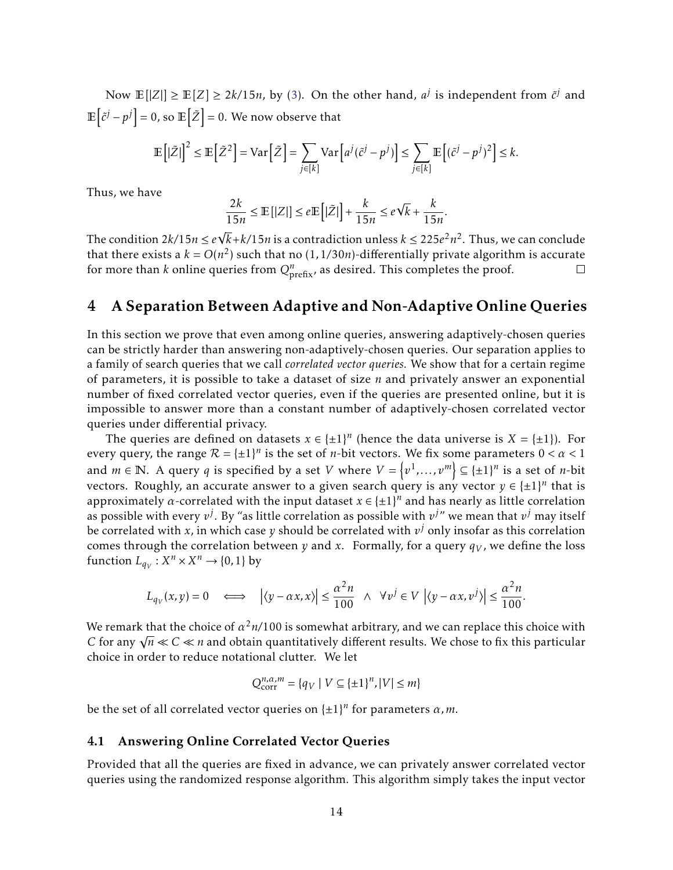Now  $\mathbb{E}[|Z|] \geq \mathbb{E}[Z] \geq 2k/15n$ , by [\(3\)](#page-14-1). On the other hand,  $a^j$  is independent from  $\tilde{c}^j$  and  $\mathbb{E}\left[\tilde{c}^{j}-p^{j}\right]=0$ , so  $\mathbb{E}\left[\tilde{Z}\right]=0$ . We now observe that

$$
\mathbb{E}\left[\left|\tilde{Z}\right|\right]^2 \leq \mathbb{E}\left[\tilde{Z}^2\right] = \text{Var}\left[\tilde{Z}\right] = \sum_{j \in [k]} \text{Var}\left[a^j(\tilde{c}^j - p^j)\right] \leq \sum_{j \in [k]} \mathbb{E}\left[(\tilde{c}^j - p^j)^2\right] \leq k.
$$

Thus, we have

$$
\frac{2k}{15n} \le \mathbb{E}\left[|Z|\right] \le e \mathbb{E}\left[|\tilde{Z}|\right] + \frac{k}{15n} \le e\sqrt{k} + \frac{k}{15n}.
$$

The condition  $2k/15n \le e$ √  $\sqrt{k}$ + $k$ /15*n* is a contradiction unless  $k \leq 225e^2n^2$ . Thus, we can conclude that there exists a  $k = O(n^2)$  such that no (1,1/30*n*)-differentially private algorithm is accurate for more than *k* online queries from  $Q_{\text{prefix}}^n$ , as desired. This completes the proof.

# <span id="page-15-0"></span>4 A Separation Between Adaptive and Non-Adaptive Online Queries

In this section we prove that even among online queries, answering adaptively-chosen queries can be strictly harder than answering non-adaptively-chosen queries. Our separation applies to a family of search queries that we call *correlated vector queries.* We show that for a certain regime of parameters, it is possible to take a dataset of size *n* and privately answer an exponential number of fixed correlated vector queries, even if the queries are presented online, but it is impossible to answer more than a constant number of adaptively-chosen correlated vector queries under differential privacy.

The queries are defined on datasets  $x \in \{\pm 1\}^n$  (hence the data universe is  $X = \{\pm 1\}$ ). For every query, the range  $\mathcal{R} = {\pm 1}^n$  is the set of *n*-bit vectors. We fix some parameters  $0 < \alpha < 1$ and  $m \in \mathbb{N}$ . A query  $q$  is specified by a set  $V$  where  $V = \{v^1, \ldots, v^m\} \subseteq \{\pm 1\}^n$  is a set of *n*-bit vectors. Roughly, an accurate answer to a given search query is any vector  $y \in \{\pm 1\}^n$  that is approximately  $\alpha$ -correlated with the input dataset  $x \in {\pm 1}^n$  and has nearly as little correlation as possible with every  $v^j$ . By "as little correlation as possible with  $v^{j}$ " we mean that  $v^j$  may itself be correlated with  $x$ , in which case  $y$  should be correlated with  $v^j$  only insofar as this correlation comes through the correlation between *y* and *x*. Formally, for a query  $q_V$ , we define the loss function  $L_{q_V}: X^n \times X^n \to \{0, 1\}$  by

$$
L_{q_V}(x,y) = 0 \quad \Longleftrightarrow \quad \left| \langle y - \alpha x, x \rangle \right| \le \frac{\alpha^2 n}{100} \quad \land \quad \forall v^j \in V \, \left| \langle y - \alpha x, v^j \rangle \right| \le \frac{\alpha^2 n}{100}
$$

*.*

We remark that the choice of  $\alpha^2$ *n*/100 is somewhat arbitrary, and we can replace this choice with We remark that the choice of  $\alpha$  <sup>2</sup>  $n$ /100 is somewhat arbitrary, and we can replace this choice with<br>C for any  $\sqrt{n} \ll C \ll n$  and obtain quantitatively different results. We chose to fix this particular choice in order to reduce notational clutter. We let

$$
Q_{\text{corr}}^{n,\alpha,m} = \{q_V \mid V \subseteq {\{\pm 1\}}^n, |V| \le m\}
$$

be the set of all correlated vector queries on  $\{\pm 1\}^n$  for parameters  $\alpha$ , m.

#### <span id="page-15-1"></span>4.1 Answering Online Correlated Vector Queries

Provided that all the queries are fixed in advance, we can privately answer correlated vector queries using the randomized response algorithm. This algorithm simply takes the input vector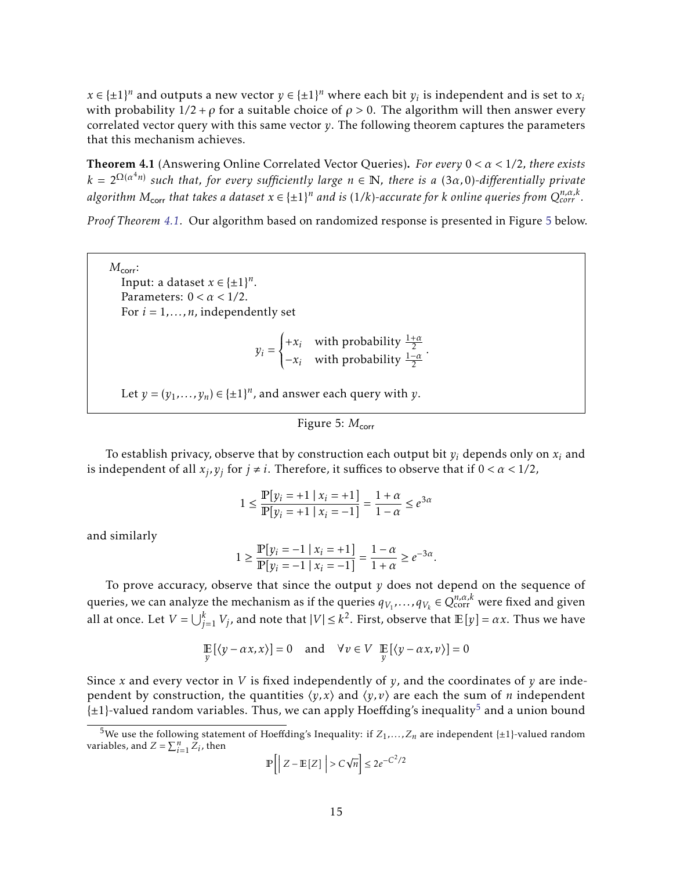$x \in {\pm 1}^n$  and outputs a new vector  $y \in {\pm 1}^n$  where each bit  $y_i$  is independent and is set to  $x_i$ with probability  $1/2 + \rho$  for a suitable choice of  $\rho > 0$ . The algorithm will then answer every correlated vector query with this same vector *y*. The following theorem captures the parameters that this mechanism achieves.

<span id="page-16-0"></span>Theorem 4.1 (Answering Online Correlated Vector Queries). *For every* 0 *< α <* 1*/*2*, there exists k* = 2Ω(*<sup>α</sup>* <sup>4</sup>*n*) *such that, for every sufficiently large n* ∈ N*, there is a* (3*α,*0)*-differentially private* algorithm  $M_{\sf corr}$  that takes a dataset  $x \in \{ \pm 1 \}^n$  and is (1/k)-accurate for  $k$  online queries from  $Q_{\sf corr}^{n,\alpha,k}.$ 

*Proof Theorem [4.1.](#page-16-0)* Our algorithm based on randomized response is presented in Figure [5](#page-16-1) below.

 $M_{\text{corr}}$ : Input: a dataset  $x \in {\pm 1}^n$ . Parameters: 0 *< α <* 1*/*2. For  $i = 1, \ldots, n$ , independently set

$$
y_i = \begin{cases} +x_i & \text{with probability } \frac{1+\alpha}{2} \\ -x_i & \text{with probability } \frac{1-\alpha}{2} \end{cases}
$$

*.*

Let  $y = (y_1, \ldots, y_n) \in \{\pm 1\}^n$ , and answer each query with  $y$ .

<span id="page-16-1"></span>Figure 5:  $M_{\text{corr}}$ 

To establish privacy, observe that by construction each output bit  $y_i$  depends only on  $x_i$  and is independent of all  $x_j, y_j$  for  $j \neq i$ . Therefore, it suffices to observe that if  $0 < \alpha < 1/2$ ,

$$
1 \le \frac{\mathbb{P}[y_i = +1 \mid x_i = +1]}{\mathbb{P}[y_i = +1 \mid x_i = -1]} = \frac{1+\alpha}{1-\alpha} \le e^{3\alpha}
$$

and similarly

$$
1 \ge \frac{\mathbb{P}[y_i = -1 \mid x_i = +1]}{\mathbb{P}[y_i = -1 \mid x_i = -1]} = \frac{1 - \alpha}{1 + \alpha} \ge e^{-3\alpha}.
$$

To prove accuracy, observe that since the output *y* does not depend on the sequence of queries, we can analyze the mechanism as if the queries  $q_{V_1},\ldots,q_{V_k}\in Q^{n,\alpha,k}_{\rm corr}$  were fixed and given all at once. Let  $V = \bigcup_{j=1}^k V_j$ , and note that  $|V| \le k^2$ . First, observe that  $\mathbb{E}[y] = \alpha x$ . Thus we have

$$
\mathop{\mathbb{E}}_{y} [(y - \alpha x, x)] = 0 \quad \text{and} \quad \forall v \in V \quad \mathop{\mathbb{E}}_{y} [(y - \alpha x, v)] = 0
$$

Since *x* and every vector in *V* is fixed independently of *y*, and the coordinates of *y* are independent by construction, the quantities  $\langle y, x \rangle$  and  $\langle y, v \rangle$  are each the sum of *n* independent  $\{\pm 1\}$ -valued random variables. Thus, we can apply Hoeffding's inequality<sup>[5](#page-16-2)</sup> and a union bound

$$
\mathbb{P}\left[\left| Z - \mathbb{E}\left[ Z \right] \right| > C\sqrt{n} \right] \leq 2e^{-C^2/2}
$$

<span id="page-16-2"></span><sup>&</sup>lt;sup>5</sup>We use the following statement of Hoeffding's Inequality: if  $Z_1, \ldots, Z_n$  are independent {±1}-valued random variables, and  $Z = \sum_{i=1}^{n} Z_i$ , then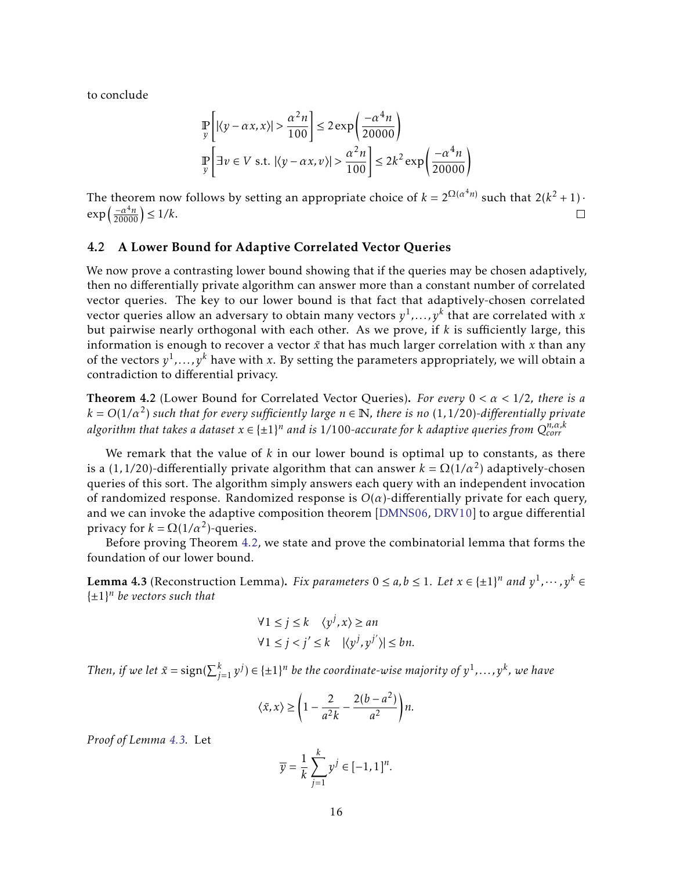to conclude

$$
\mathbb{P}\left[\left|\left\langle y - \alpha x, x\right\rangle\right| > \frac{\alpha^2 n}{100}\right] \le 2\exp\left(\frac{-\alpha^4 n}{20000}\right)
$$
\n
$$
\mathbb{P}\left[\exists v \in V \text{ s.t. } \left|\left\langle y - \alpha x, v\right\rangle\right| > \frac{\alpha^2 n}{100}\right] \le 2k^2 \exp\left(\frac{-\alpha^4 n}{20000}\right)
$$

The theorem now follows by setting an appropriate choice of  $k = 2^{\Omega(\alpha^4 n)}$  such that  $2(k^2 + 1)$ .  $\exp\left(\frac{-\alpha^4 n}{20000}\right) \le 1/k.$  $\Box$ 

## <span id="page-17-0"></span>4.2 A Lower Bound for Adaptive Correlated Vector Queries

We now prove a contrasting lower bound showing that if the queries may be chosen adaptively, then no differentially private algorithm can answer more than a constant number of correlated vector queries. The key to our lower bound is that fact that adaptively-chosen correlated vector queries allow an adversary to obtain many vectors *y* 1 *,...,y<sup>k</sup>* that are correlated with *x* but pairwise nearly orthogonal with each other. As we prove, if *k* is sufficiently large, this information is enough to recover a vector  $\tilde{x}$  that has much larger correlation with  $x$  than any of the vectors *y* 1 *,...,y<sup>k</sup>* have with *x*. By setting the parameters appropriately, we will obtain a contradiction to differential privacy.

<span id="page-17-1"></span>Theorem 4.2 (Lower Bound for Correlated Vector Queries). *For every* 0 *< α <* 1*/*2*, there is a*  $k = O(1/\alpha^2)$  such that for every sufficiently large  $n \in \mathbb{N}$ , there is no  $(1, 1/20)$ -differentially private algorithm that takes a dataset  $x \in \{ \pm 1 \}^n$  and is 1/100-accurate for  $k$  adaptive queries from  $Q^{n,\alpha,k}_{corr}$ 

We remark that the value of *k* in our lower bound is optimal up to constants, as there is a (1,1/20)-differentially private algorithm that can answer  $k = \Omega(1/\alpha^2)$  adaptively-chosen queries of this sort. The algorithm simply answers each query with an independent invocation of randomized response. Randomized response is  $O(\alpha)$ -differentially private for each query, and we can invoke the adaptive composition theorem [\[DMNS06,](#page-32-0) [DRV10\]](#page-32-1) to argue differential privacy for  $k = \Omega(1/\alpha^2)$ -queries.

Before proving Theorem [4.2,](#page-17-1) we state and prove the combinatorial lemma that forms the foundation of our lower bound.

<span id="page-17-2"></span>**Lemma 4.3** (Reconstruction Lemma). *Fix parameters*  $0 \le a, b \le 1$ . Let  $x \in \{\pm 1\}^n$  and  $y^1, \dots, y^k \in$ {±1} *<sup>n</sup> be vectors such that*

$$
\forall 1 \le j \le k \quad \langle y^j, x \rangle \ge an
$$
  

$$
\forall 1 \le j < j' \le k \quad |\langle y^j, y^{j'} \rangle| \le bn.
$$

Then, if we let  $\tilde{x} = \text{sign}(\sum_{j=1}^{k} y^{j}) \in \{\pm 1\}^{n}$  be the coordinate-wise majority of  $y^{1}, \ldots, y^{k}$ , we have

$$
\langle \tilde{x}, x \rangle \ge \left( 1 - \frac{2}{a^2 k} - \frac{2(b - a^2)}{a^2} \right) n.
$$

*Proof of Lemma [4.3.](#page-17-2)* Let

$$
\overline{y} = \frac{1}{k} \sum_{j=1}^{k} y^{j} \in [-1, 1]^{n}.
$$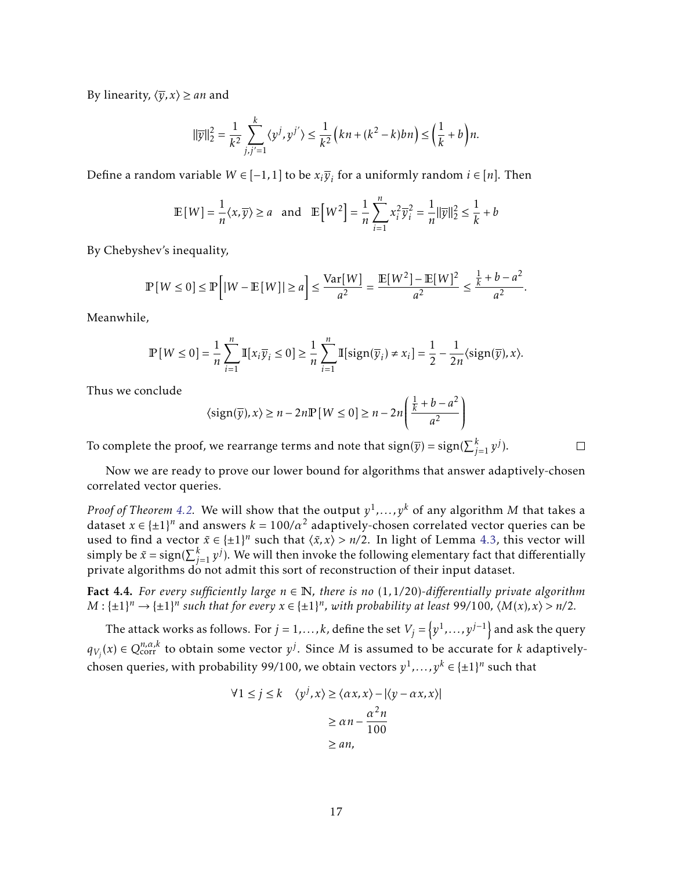By linearity,  $\langle \overline{y}, x \rangle \geq an$  and

$$
\|\overline{y}\|_2^2 = \frac{1}{k^2} \sum_{j,j'=1}^k \langle y^j, y^{j'} \rangle \le \frac{1}{k^2} \left( kn + \left(k^2 - k\right) bn \right) \le \left(\frac{1}{k} + b\right) n.
$$

Define a random variable  $W \in [-1,1]$  to be  $x_i \overline{y}_i$  for a uniformly random  $i \in [n]$ . Then

$$
\mathbb{E}[W] = \frac{1}{n} \langle x, \overline{y} \rangle \ge a \quad \text{and} \quad \mathbb{E}[W^2] = \frac{1}{n} \sum_{i=1}^n x_i^2 \overline{y}_i^2 = \frac{1}{n} ||\overline{y}||_2^2 \le \frac{1}{k} + b
$$

By Chebyshev's inequality,

$$
\mathbb{P}[W \le 0] \le \mathbb{P}\left[|W - \mathbb{E}[W]| \ge a\right] \le \frac{\text{Var}[W]}{a^2} = \frac{\mathbb{E}[W^2] - \mathbb{E}[W]^2}{a^2} \le \frac{\frac{1}{k} + b - a^2}{a^2}.
$$

Meanwhile,

$$
\mathbb{P}[W \le 0] = \frac{1}{n} \sum_{i=1}^{n} \mathbb{I}[x_i \overline{y}_i \le 0] \ge \frac{1}{n} \sum_{i=1}^{n} \mathbb{I}[\text{sign}(\overline{y}_i) \ne x_i] = \frac{1}{2} - \frac{1}{2n} \langle \text{sign}(\overline{y}), x \rangle.
$$

Thus we conclude

$$
\langle \operatorname{sign}(\overline{y}), x \rangle \ge n - 2n \mathbb{P}[W \le 0] \ge n - 2n \left( \frac{\frac{1}{k} + b - a^2}{a^2} \right)
$$

To complete the proof, we rearrange terms and note that  $\text{sign}(\overline{y}) = \text{sign}(\sum_{j=1}^k y^j).$ 

 $\Box$ 

Now we are ready to prove our lower bound for algorithms that answer adaptively-chosen correlated vector queries.

*Proof of Theorem [4.2.](#page-17-1) W*e will show that the output  $y^1, \ldots, y^k$  of any algorithm  $M$  that takes a dataset  $x \in {\pm 1}^n$  and answers  $k = 100/a^2$  adaptively-chosen correlated vector queries can be used to find a vector  $\tilde{x} \in {\pm 1}^n$  such that  $\langle \tilde{x}, x \rangle > n/2$ . In light of Lemma [4.3,](#page-17-2) this vector will simply be  $\tilde{x} = \text{sign}(\sum_{j=1}^k y^j).$  We will then invoke the following elementary fact that differentially private algorithms do not admit this sort of reconstruction of their input dataset.

<span id="page-18-0"></span>**Fact 4.4.** For every sufficiently large  $n \in \mathbb{N}$ , there is no (1,1/20)-differentially private algorithm  $M: \{\pm 1\}^n \to \{\pm 1\}^n$  such that for every  $x \in \{\pm 1\}^n$ , with probability at least 99/100*,*  $\langle M(x), x \rangle > n/2$ .

The attack works as follows. For  $j = 1, \ldots, k$ , define the set  $V_j = \left\{y^1, \ldots, y^{j-1}\right\}$  and ask the query  $q_{V_j}(x) \in Q_{\text{corr}}^{n,\alpha,k}$  to obtain some vector  $y^j$ . Since  $M$  is assumed to be accurate for  $k$  adaptivelychosen queries, with probability 99/100, we obtain vectors  $y^1,\ldots,y^k\in\{\pm 1\}^n$  such that

$$
\forall 1 \le j \le k \quad \langle y^j, x \rangle \ge \langle \alpha x, x \rangle - |\langle y - \alpha x, x \rangle|
$$

$$
\ge \alpha n - \frac{\alpha^2 n}{100}
$$

$$
\ge an,
$$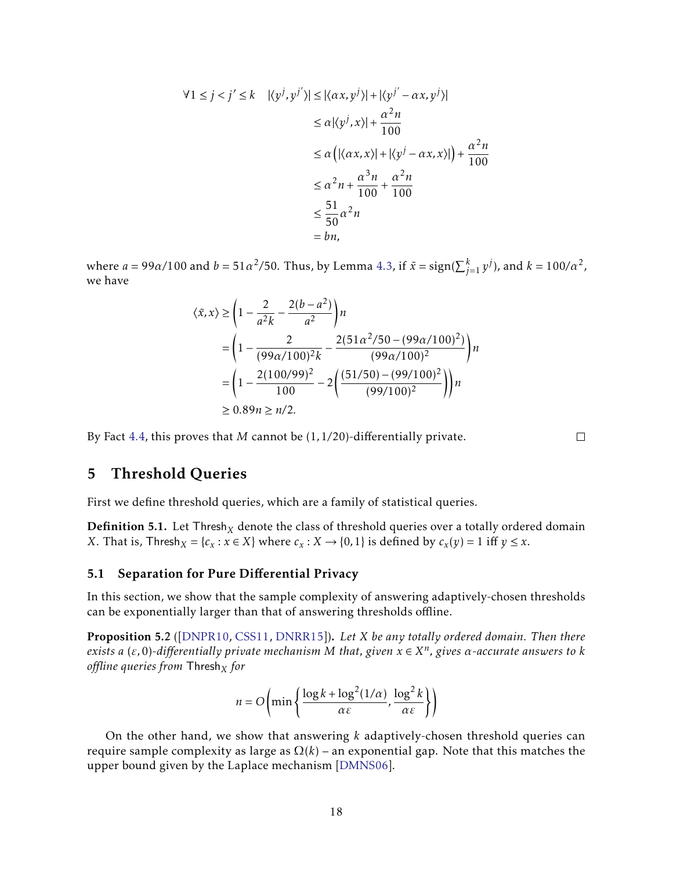$$
\forall 1 \le j < j' \le k \quad |\langle y^j, y^{j'} \rangle| \le |\langle \alpha x, y^j \rangle| + |\langle y^{j'} - \alpha x, y^j \rangle|
$$
\n
$$
\le \alpha |\langle y^j, x \rangle| + \frac{\alpha^2 n}{100}
$$
\n
$$
\le \alpha \left( |\langle \alpha x, x \rangle| + |\langle y^j - \alpha x, x \rangle| \right) + \frac{\alpha^2 n}{100}
$$
\n
$$
\le \alpha^2 n + \frac{\alpha^3 n}{100} + \frac{\alpha^2 n}{100}
$$
\n
$$
\le \frac{51}{50} \alpha^2 n
$$
\n
$$
= b n,
$$

where  $a = 99a/100$  and  $b = 51a^2/50$ . Thus, by Lemma [4.3,](#page-17-2) if  $\tilde{x} = \text{sign}(\sum_{j=1}^k y^j)$ , and  $k = 100/a^2$ , we have

$$
\langle \tilde{x}, x \rangle \ge \left( 1 - \frac{2}{a^2 k} - \frac{2(b - a^2)}{a^2} \right) n
$$
  
=  $\left( 1 - \frac{2}{(99a/100)^2 k} - \frac{2(51a^2/50 - (99a/100)^2)}{(99a/100)^2} \right) n$   
=  $\left( 1 - \frac{2(100/99)^2}{100} - 2 \left( \frac{(51/50) - (99/100)^2}{(99/100)^2} \right) \right) n$   
 $\ge 0.89n \ge n/2.$ 

By Fact [4.4,](#page-18-0) this proves that *M* cannot be (1*,*1*/*20)-differentially private.

 $\Box$ 

# <span id="page-19-0"></span>5 Threshold Queries

First we define threshold queries, which are a family of statistical queries.

**Definition 5.1.** Let Thresh<sub>X</sub> denote the class of threshold queries over a totally ordered domain *X*. That is, Thresh<sub>*X*</sub> = { $c_x$  :  $x \in X$ } where  $c_x$  :  $X \to \{0, 1\}$  is defined by  $c_x(y) = 1$  iff  $y \le x$ .

## <span id="page-19-1"></span>5.1 Separation for Pure Differential Privacy

In this section, we show that the sample complexity of answering adaptively-chosen thresholds can be exponentially larger than that of answering thresholds offline.

Proposition 5.2 ([\[DNPR10,](#page-32-4) [CSS11,](#page-32-5) [DNRR15\]](#page-32-6)). *Let X be any totally ordered domain. Then there exists a* (*ε,*0)*-differentially private mechanism M that, given x* ∈ *X n , gives α-accurate answers to k offline queries from* Thresh*<sup>X</sup> for*

$$
n = O\left(\min\left\{\frac{\log k + \log^2(1/\alpha)}{\alpha \varepsilon}, \frac{\log^2 k}{\alpha \varepsilon}\right\}\right)
$$

On the other hand, we show that answering *k* adaptively-chosen threshold queries can require sample complexity as large as  $\Omega(k)$  – an exponential gap. Note that this matches the upper bound given by the Laplace mechanism [\[DMNS06\]](#page-32-0).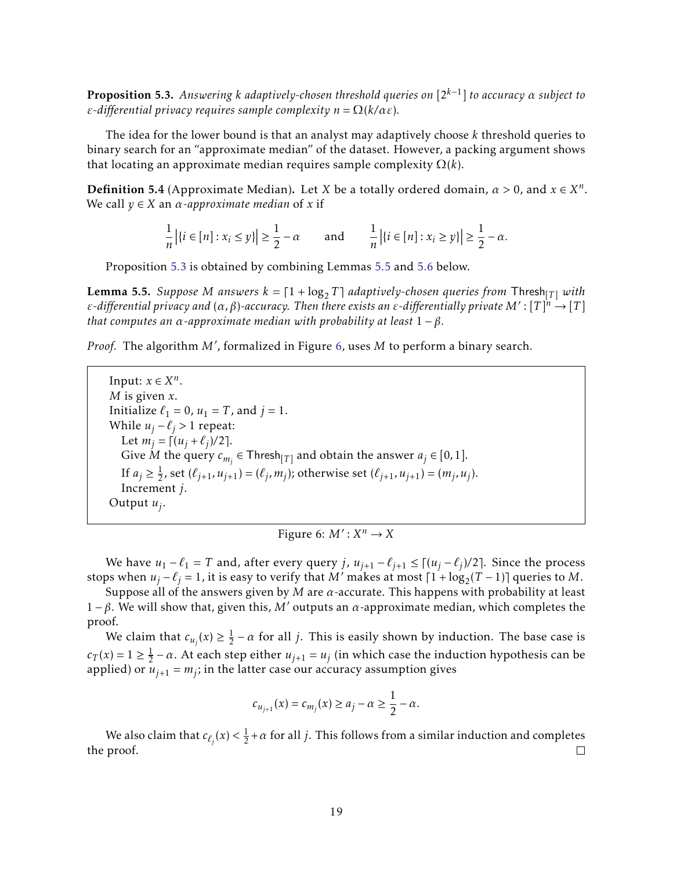<span id="page-20-0"></span>Proposition 5.3. *Answering k adaptively-chosen threshold queries on* [2*k*−<sup>1</sup> ] *to accuracy α subject to ε-differential privacy requires sample complexity n* = Ω(*k/αε*)*.*

The idea for the lower bound is that an analyst may adaptively choose *k* threshold queries to binary search for an "approximate median" of the dataset. However, a packing argument shows that locating an approximate median requires sample complexity Ω(*k*).

**Definition 5.4** (Approximate Median). Let *X* be a totally ordered domain,  $\alpha > 0$ , and  $x \in X^n$ . We call  $y \in X$  an  $\alpha$ -approximate median of x if

$$
\frac{1}{n} | \{ i \in [n] : x_i \le y \} | \ge \frac{1}{2} - \alpha \quad \text{and} \quad \frac{1}{n} | \{ i \in [n] : x_i \ge y \} | \ge \frac{1}{2} - \alpha.
$$

Proposition [5.3](#page-20-0) is obtained by combining Lemmas [5.5](#page-20-1) and [5.6](#page-21-1) below.

<span id="page-20-1"></span>**Lemma 5.5.** Suppose M answers  $k = \lceil 1 + \log_2 T \rceil$  adaptively-chosen queries from  $\mathsf{Thresh}_{\lceil T \rceil}$  with *ε-differential privacy and* (*α, β*)*-accuracy. Then there exists an ε-differentially private*  $M'$ : [*T*]<sup>*n*</sup>  $\rightarrow$  [*T*] *that computes an*  $\alpha$ -approximate median with probability at least  $1 - \beta$ *.* 

Proof. The algorithm M', formalized in Figure [6,](#page-20-2) uses M to perform a binary search.

Input:  $x \in X^n$ . *M* is given *x*. Initialize  $\ell_1 = 0$ ,  $u_1 = T$ , and  $j = 1$ . While  $u_j - \ell_j > 1$  repeat: Let  $m_j = \int (u_j + \ell_j)/2$ . Give  $\dot{M}$  the query  $c_{m_j} \in \mathsf{Thresh}_{[T]}$  and obtain the answer  $a_j \in [0,1]$ . If  $a_j \geq \frac{1}{2}$  $\frac{1}{2}$ , set  $(\ell_{j+1}, u_{j+1}) = (\ell_j, m_j)$ ; otherwise set  $(\ell_{j+1}, u_{j+1}) = (m_j, u_j)$ . Increment *j*. Output *u<sup>j</sup>* .

<span id="page-20-2"></span>Figure 6:  $M': X^n \to X$ 

We have  $u_1 - \ell_1 = T$  and, after every query *j*,  $u_{j+1} - \ell_{j+1} \leq \lceil (u_j - \ell_j)/2 \rceil$ . Since the process stops when  $u_j - \ell_j = 1$ , it is easy to verify that *M*<sup> $\ell$ </sup> makes at most  $\lceil 1 + \log_2(T-1) \rceil$  queries to *M*.

Suppose all of the answers given by *M* are *α*-accurate. This happens with probability at least  $1 - \beta$ . We will show that, given this, *M'* outputs an *α*-approximate median, which completes the proof.

We claim that  $c_{u_j}(x) \geq \frac{1}{2}$  $\frac{1}{2} - \alpha$  for all *j*. This is easily shown by induction. The base case is  $c_T(x) = 1 \ge \frac{1}{2}$  $\frac{1}{2}$  – *α*. At each step either  $u_{j+1} = u_j$  (in which case the induction hypothesis can be applied) or  $u_{j+1} = m_j$ ; in the latter case our accuracy assumption gives

$$
c_{u_{j+1}}(x) = c_{m_j}(x) \ge a_j - \alpha \ge \frac{1}{2} - \alpha.
$$

We also claim that  $c_{\ell_j}(x) < \frac{1}{2}$  $\frac{1}{2} + \alpha$  for all *j*. This follows from a similar induction and completes the proof.  $\Box$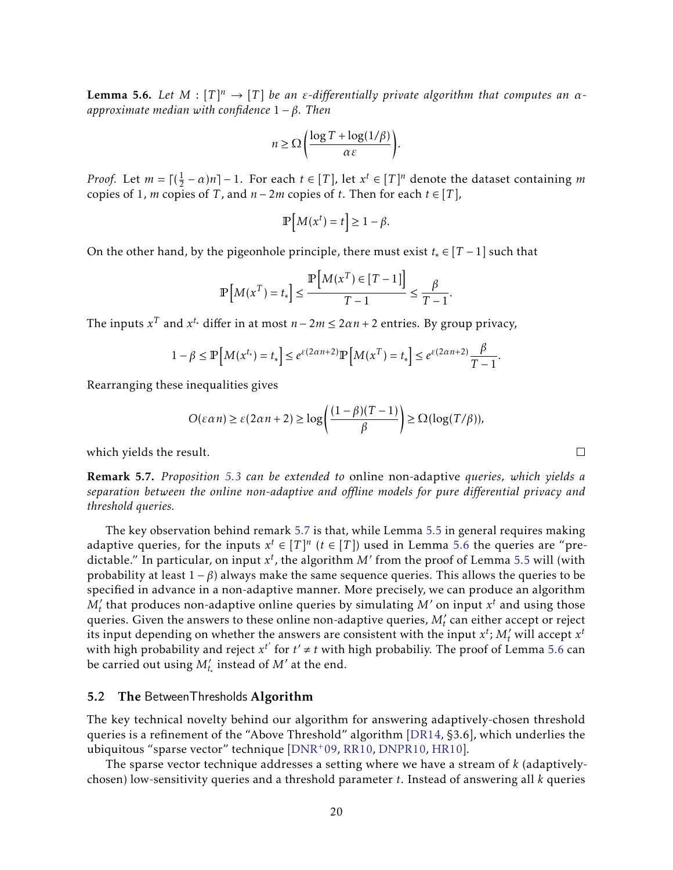<span id="page-21-1"></span>**Lemma 5.6.** Let  $M : [T]^n \to [T]$  be an *ε*-differentially private algorithm that computes an  $\alpha$ *approximate median with confidence* 1 − *β. Then*

$$
n \ge \Omega \left( \frac{\log T + \log(1/\beta)}{\alpha \varepsilon} \right).
$$

*Proof.* Let  $m = \lceil (\frac{1}{2}) \rceil$  $\frac{1}{2} - \alpha$ )*n*] − 1. For each *t* ∈ [*T*], let  $x^t$  ∈ [*T*]<sup>*n*</sup> denote the dataset containing *m* copies of 1, *m* copies of *T*, and  $n-2m$  copies of *t*. Then for each  $t \in [T]$ ,

$$
\mathbb{P}\left[M(x^t) = t\right] \ge 1 - \beta.
$$

On the other hand, by the pigeonhole principle, there must exist *t*<sup>∗</sup> ∈ [*T* − 1] such that

$$
\mathbb{P}\left[M(x^T) = t_*\right] \le \frac{\mathbb{P}\left[M(x^T) \in [T-1]\right]}{T-1} \le \frac{\beta}{T-1}
$$

*.*

The inputs  $x^T$  and  $x^{t_*}$  differ in at most  $n - 2m \leq 2\alpha n + 2$  entries. By group privacy,

$$
1 - \beta \le \mathbb{P}\left[M(x^{t_*}) = t_*\right] \le e^{\varepsilon(2\alpha n + 2)} \mathbb{P}\left[M(x^T) = t_*\right] \le e^{\varepsilon(2\alpha n + 2)} \frac{\beta}{T - 1}.
$$

Rearranging these inequalities gives

$$
O(\varepsilon \alpha n) \ge \varepsilon (2\alpha n + 2) \ge \log \left( \frac{(1-\beta)(T-1)}{\beta} \right) \ge \Omega(\log(T/\beta)),
$$

which yields the result.

<span id="page-21-2"></span>Remark 5.7. *Proposition [5.3](#page-20-0) can be extended to* online non-adaptive *queries, which yields a separation between the online non-adaptive and offline models for pure differential privacy and threshold queries.*

The key observation behind remark [5.7](#page-21-2) is that, while Lemma [5.5](#page-20-1) in general requires making adaptive queries, for the inputs  $x^t \in [T]^n$  ( $t \in [T]$ ) used in Lemma [5.6](#page-21-1) the queries are "predictable." In particular, on input  $x^t$ , the algorithm *M'* from the proof of Lemma [5.5](#page-20-1) will (with probability at least  $1 - \beta$ ) always make the same sequence queries. This allows the queries to be specified in advance in a non-adaptive manner. More precisely, we can produce an algorithm  $M'_t$  that produces non-adaptive online queries by simulating  $M'$  on input  $x^t$  and using those queries. Given the answers to these online non-adaptive queries,  $M_t$  can either accept or reject its input depending on whether the answers are consistent with the input  $x^t$ ;  $M'_t$  will accept  $x^t$ with high probability and reject  $x^{t'}$  for  $t' \neq t$  with high probabiliy. The proof of Lemma [5.6](#page-21-1) can be carried out using  $M'_{t_*}$  instead of  $M'$  at the end.

#### <span id="page-21-0"></span>5.2 The BetweenThresholds Algorithm

The key technical novelty behind our algorithm for answering adaptively-chosen threshold queries is a refinement of the "Above Threshold" algorithm [\[DR14,](#page-32-7) §3.6], which underlies the ubiquitous "sparse vector" technique [\[DNR](#page-32-10)+09, [RR10,](#page-33-9) [DNPR10,](#page-32-4) [HR10\]](#page-33-2).

The sparse vector technique addresses a setting where we have a stream of *k* (adaptivelychosen) low-sensitivity queries and a threshold parameter *t*. Instead of answering all *k* queries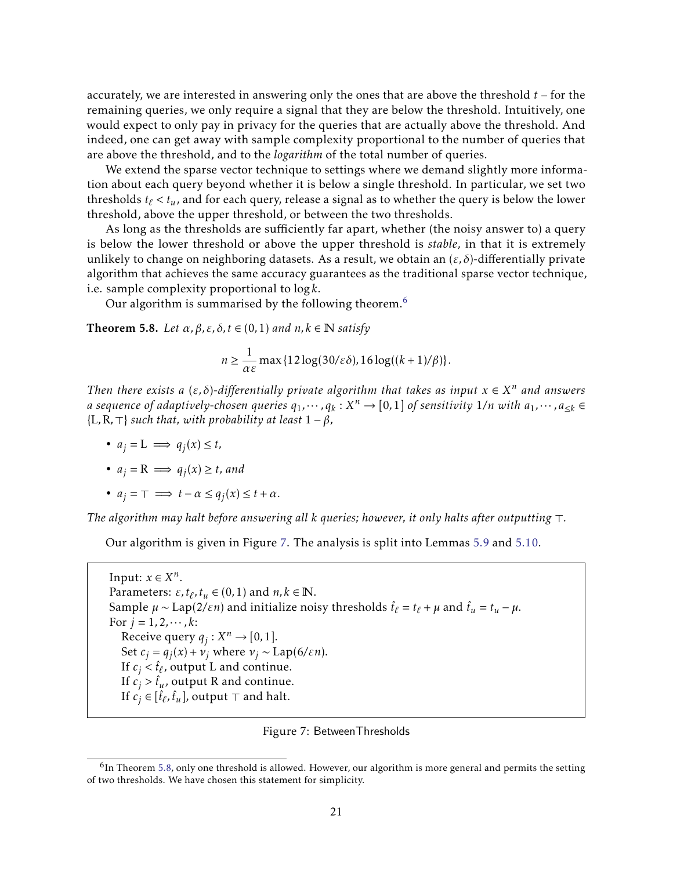accurately, we are interested in answering only the ones that are above the threshold *t* – for the remaining queries, we only require a signal that they are below the threshold. Intuitively, one would expect to only pay in privacy for the queries that are actually above the threshold. And indeed, one can get away with sample complexity proportional to the number of queries that are above the threshold, and to the *logarithm* of the total number of queries.

We extend the sparse vector technique to settings where we demand slightly more information about each query beyond whether it is below a single threshold. In particular, we set two thresholds  $t_\ell < t_u$ , and for each query, release a signal as to whether the query is below the lower threshold, above the upper threshold, or between the two thresholds.

As long as the thresholds are sufficiently far apart, whether (the noisy answer to) a query is below the lower threshold or above the upper threshold is *stable*, in that it is extremely unlikely to change on neighboring datasets. As a result, we obtain an (*ε, δ*)-differentially private algorithm that achieves the same accuracy guarantees as the traditional sparse vector technique, i.e. sample complexity proportional to log*k*.

Our algorithm is summarised by the following theorem.<sup>[6](#page-22-0)</sup>

<span id="page-22-2"></span>**Theorem 5.8.** *Let*  $\alpha$ ,  $\beta$ ,  $\varepsilon$ ,  $\delta$ ,  $t \in (0,1)$  *and*  $n, k \in \mathbb{N}$  *satisfy* 

$$
n \ge \frac{1}{\alpha \varepsilon} \max\{12\log(30/\varepsilon\delta), 16\log((k+1)/\beta)\}.
$$

*Then there exists a* ( $\varepsilon$ , $\delta$ )-differentially private algorithm that takes as input  $x \in X^n$  and answers *a sequence of adaptively-chosen queries*  $q_1, \cdots, q_k: X^n \to [0,1]$  *of sensitivity* 1/n *with a*<sub>1</sub>, $\cdots$ , a<sub>≤k</sub> ∈  ${L,R,\top}$  *such that, with probability at least*  $1 - \beta$ *,* 

- $a_j = L \implies q_j(x) \le t$ ,
- $a_j = \mathbb{R} \implies q_j(x) \geq t$ *, and*
- $a_j = \top \implies t \alpha \leq q_j(x) \leq t + \alpha$ .

*The algorithm may halt before answering all k queries; however, it only halts after outputting* >*.*

Our algorithm is given in Figure [7.](#page-22-1) The analysis is split into Lemmas [5.9](#page-23-0) and [5.10.](#page-23-1)

Input:  $x \in X^n$ . Parameters:  $\varepsilon$ ,  $t_{\ell}$ ,  $t_u \in (0,1)$  and  $n, k \in \mathbb{N}$ . Sample  $\mu \sim \text{Lap}(2/\varepsilon n)$  and initialize noisy thresholds  $\hat{t}_\ell = t_\ell + \mu$  and  $\hat{t}_u = t_u - \mu$ . For  $j = 1, 2, \dots, k$ : Receive query  $q_j : X^n \to [0,1].$ Set  $c_j = q_j(x) + v_j$  where  $v_j \sim \text{Lap}(6/\varepsilon n)$ . If  $c_j < \hat{t}_\ell$ , output L and continue. If  $c_j > \hat{t}_u$ , output R and continue. If  $c_j \in [\hat{t}_\ell, \hat{t}_u]$ , output  $\top$  and halt.

<span id="page-22-1"></span>Figure 7: BetweenThresholds

<span id="page-22-0"></span> $<sup>6</sup>$ In Theorem [5.8,](#page-22-2) only one threshold is allowed. However, our algorithm is more general and permits the setting</sup> of two thresholds. We have chosen this statement for simplicity.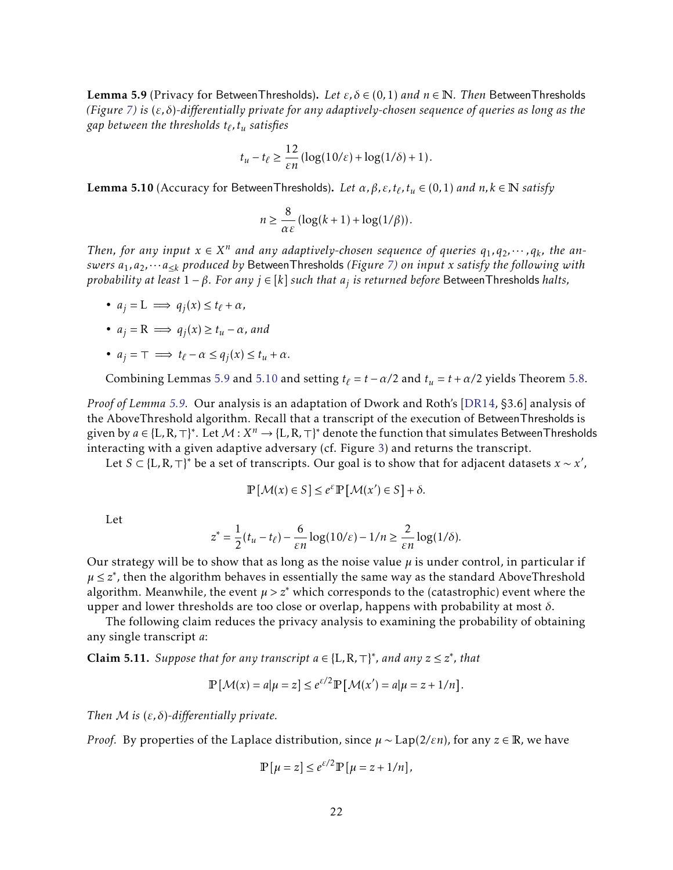<span id="page-23-0"></span>Lemma 5.9 (Privacy for BetweenThresholds). *Let ε, δ* ∈ (0*,*1) *and n* ∈ N*. Then* BetweenThresholds *(Figure [7\)](#page-22-1) is* (*ε, δ*)*-differentially private for any adaptively-chosen sequence of queries as long as the* gap between the thresholds  $t_\ell, t_u$  satisfies

$$
t_u-t_\ell \geq \frac{12}{\varepsilon n} \left(\log(10/\varepsilon) + \log(1/\delta) + 1\right).
$$

<span id="page-23-1"></span>**Lemma 5.10** (Accuracy for BetweenThresholds). *Let*  $\alpha$ ,  $\beta$ ,  $\varepsilon$ ,  $t_\ell$ ,  $t_u \in (0,1)$  *and*  $n$ ,  $k \in \mathbb{N}$  *satisfy* 

$$
n \geq \frac{8}{\alpha \varepsilon} \left( \log(k+1) + \log(1/\beta) \right).
$$

*Then, for any input*  $x \in X^n$  and any adaptively-chosen sequence of queries  $q_1, q_2, \dots, q_k$ , the an*swers a*1*,a*2*,*···*a*≤*<sup>k</sup> produced by* BetweenThresholds *(Figure [7\)](#page-22-1) on input x satisfy the following with probability at least* 1 − *β. For any j* ∈ [*k*] *such that a<sup>j</sup> is returned before* BetweenThresholds *halts,*

•  $a_j = L \implies q_j(x) \le t_\ell + \alpha$ ,

• 
$$
a_j = R \implies q_j(x) \ge t_u - \alpha
$$
, and

• 
$$
a_j = \tau \implies t_\ell - \alpha \le q_j(x) \le t_u + \alpha
$$
.

Combining Lemmas [5.9](#page-23-0) and [5.10](#page-23-1) and setting  $t_\ell = t - \alpha/2$  and  $t_u = t + \alpha/2$  yields Theorem [5.8.](#page-22-2)

*Proof of Lemma [5.9.](#page-23-0)* Our analysis is an adaptation of Dwork and Roth's [\[DR14,](#page-32-7) §3.6] analysis of the AboveThreshold algorithm. Recall that a transcript of the execution of BetweenThresholds is given by  $a \in \{L, R, \top\}^*$ . Let  $\mathcal{M}: X^n \to \{L, R, \top\}^*$  denote the function that simulates BetweenThresholds interacting with a given adaptive adversary (cf. Figure [3\)](#page-9-2) and returns the transcript.

Let  $S \subset \{L, R, \top\}^*$  be a set of transcripts. Our goal is to show that for adjacent datasets  $x \sim x'$ ,

$$
\mathbb{P}\left[\mathcal{M}(x)\in S\right]\leq e^{\varepsilon}\mathbb{P}\left[\mathcal{M}(x')\in S\right]+\delta.
$$

Let

$$
z^* = \frac{1}{2}(t_u - t_\ell) - \frac{6}{\varepsilon n} \log(10/\varepsilon) - 1/n \ge \frac{2}{\varepsilon n} \log(1/\delta).
$$

Our strategy will be to show that as long as the noise value  $\mu$  is under control, in particular if *µ* ≤ *z* ∗ , then the algorithm behaves in essentially the same way as the standard AboveThreshold algorithm. Meanwhile, the event  $\mu > z^*$  which corresponds to the (catastrophic) event where the upper and lower thresholds are too close or overlap, happens with probability at most *δ*.

The following claim reduces the privacy analysis to examining the probability of obtaining any single transcript *a*:

<span id="page-23-2"></span>**Claim 5.11.** Suppose that for any transcript  $a \in \{L, R, \top\}^*$ , and any  $z \leq z^*$ , that

$$
\mathbb{P}\left[\mathcal{M}(x) = a|\mu = z\right] \le e^{\varepsilon/2} \mathbb{P}\left[\mathcal{M}(x') = a|\mu = z + 1/n\right].
$$

*Then* M *is* (*ε, δ*)*-differentially private.*

*Proof.* By properties of the Laplace distribution, since *µ* ∼ Lap(2*/εn*), for any *z* ∈ R, we have

$$
\mathbb{P}[\mu = z] \le e^{\varepsilon/2} \mathbb{P}[\mu = z + 1/n],
$$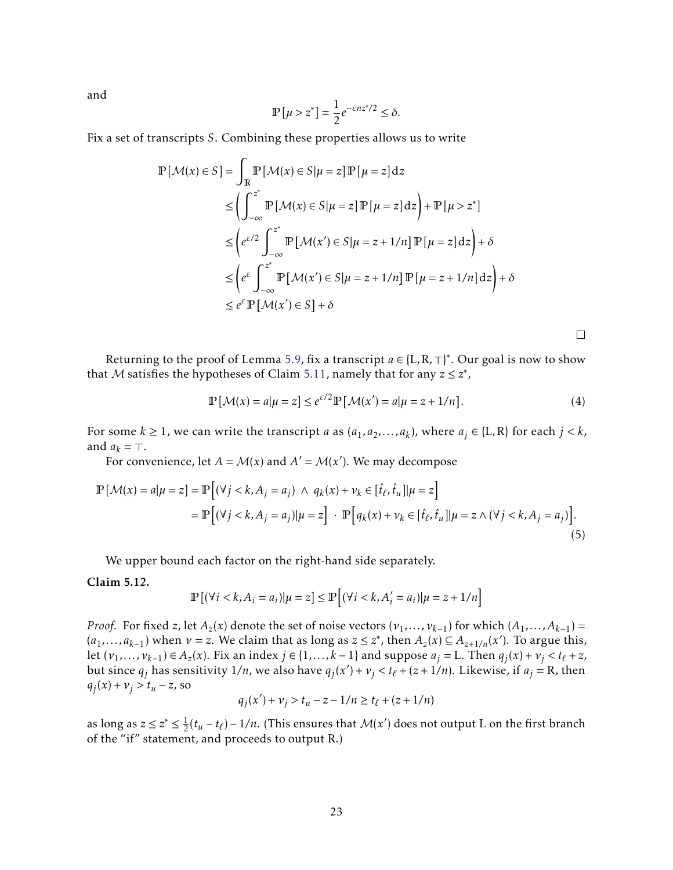and

$$
\mathbb{P}\left[\mu > z^*\right] = \frac{1}{2}e^{-\varepsilon n z^*/2} \le \delta.
$$

Fix a set of transcripts *S*. Combining these properties allows us to write

$$
\mathbb{P}\left[\mathcal{M}(x) \in S\right] = \int_{\mathbb{R}} \mathbb{P}\left[\mathcal{M}(x) \in S | \mu = z\right] \mathbb{P}\left[\mu = z\right] dz
$$
\n
$$
\leq \left(\int_{-\infty}^{z^*} \mathbb{P}\left[\mathcal{M}(x) \in S | \mu = z\right] \mathbb{P}\left[\mu = z\right] dz\right) + \mathbb{P}\left[\mu > z^*\right]
$$
\n
$$
\leq \left(e^{\varepsilon/2} \int_{-\infty}^{z^*} \mathbb{P}\left[\mathcal{M}(x') \in S | \mu = z + 1/n\right] \mathbb{P}\left[\mu = z\right] dz\right) + \delta
$$
\n
$$
\leq \left(e^{\varepsilon} \int_{-\infty}^{z^*} \mathbb{P}\left[\mathcal{M}(x') \in S | \mu = z + 1/n\right] \mathbb{P}\left[\mu = z + 1/n\right] dz\right) + \delta
$$
\n
$$
\leq e^{\varepsilon} \mathbb{P}\left[\mathcal{M}(x') \in S\right] + \delta
$$

<span id="page-24-2"></span> $\Box$ 

Returning to the proof of Lemma [5.9,](#page-23-0) fix a transcript  $a \in \{L, R, \top\}^*$ . Our goal is now to show that M satisfies the hypotheses of Claim [5.11,](#page-23-2) namely that for any  $z \leq z^*$ ,

<span id="page-24-1"></span>
$$
\mathbb{P}\left[\mathcal{M}(x) = a|\mu = z\right] \le e^{\varepsilon/2} \mathbb{P}\left[\mathcal{M}(x') = a|\mu = z + 1/n\right].\tag{4}
$$

For some  $k \ge 1$ , we can write the transcript *a* as  $(a_1, a_2, ..., a_k)$ , where  $a_j \in \{L, R\}$  for each  $j < k$ , and  $a_k = \top$ .

For convenience, let  $A = M(x)$  and  $A' = M(x')$ . We may decompose

$$
\mathbb{P}\left[\mathcal{M}(x) = a | \mu = z\right] = \mathbb{P}\left[\left(\forall j < k, A_j = a_j\right) \land q_k(x) + \nu_k \in [\hat{t}_\ell, \hat{t}_u] | \mu = z\right]
$$
\n
$$
= \mathbb{P}\left[\left(\forall j < k, A_j = a_j\right) | \mu = z\right] \cdot \mathbb{P}\left[q_k(x) + \nu_k \in [\hat{t}_\ell, \hat{t}_u] | \mu = z \land (\forall j < k, A_j = a_j)\right].\tag{5}
$$

We upper bound each factor on the right-hand side separately.

<span id="page-24-0"></span>Claim 5.12.

$$
\mathbb{P}\left[\left(\forall i < k, A_i = a_i\right) | \mu = z\right] \le \mathbb{P}\left[\left(\forall i < k, A'_i = a_i\right) | \mu = z + 1/n\right]
$$

*Proof.* For fixed *z*, let  $A_z(x)$  denote the set of noise vectors  $(\nu_1, \ldots, \nu_{k-1})$  for which  $(A_1, \ldots, A_{k-1})$  =  $(a_1, \ldots, a_{k-1})$  when  $\nu = z$ . We claim that as long as  $z \leq z^*$ , then  $A_z(x) \subseteq A_{z+1/n}(x')$ . To argue this, let  $(v_1,...,v_{k-1}) \in A_z(x)$ . Fix an index  $j \in \{1,...,k-1\}$  and suppose  $a_j = L$ . Then  $q_j(x) + v_j < t_\ell + z$ , but since  $q_j$  has sensitivity  $1/n$ , we also have  $q_j(x') + v_j < t_\ell + (z+1/n)$ . Likewise, if  $a_j = R$ , then  $q_j(x) + v_j > t_u - z$ , so

$$
q_j(x') + \nu_j > t_u - z - 1/n \ge t_\ell + (z + 1/n)
$$

as long as  $z \leq z^* \leq \frac{1}{2}$  $\frac{1}{2}(t_u - t_\ell) - \frac{1}{n}$ . (This ensures that  $\mathcal{M}(x')$  does not output L on the first branch of the "if" statement, and proceeds to output R.)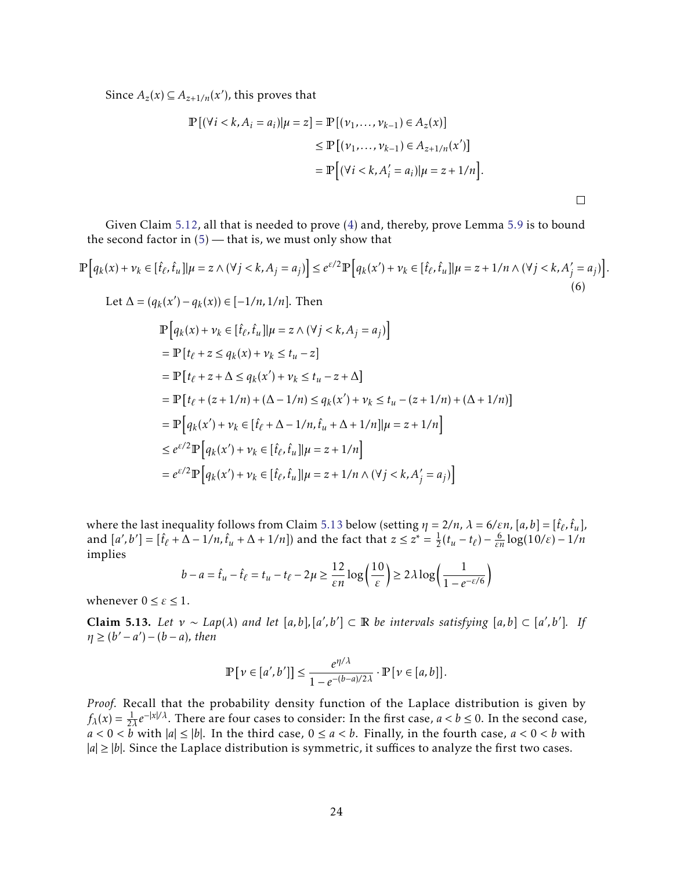Since  $A_z(x) \subseteq A_{z+1/n}(x')$ , this proves that

$$
\mathbb{P}[(\forall i < k, A_i = a_i)|\mu = z] = \mathbb{P}[(\nu_1, \dots, \nu_{k-1}) \in A_z(x)]
$$
\n
$$
\leq \mathbb{P}[(\nu_1, \dots, \nu_{k-1}) \in A_{z+1/n}(x')] \\
= \mathbb{P}[(\forall i < k, A'_i = a_i)|\mu = z + 1/n].
$$

Given Claim [5.12,](#page-24-0) all that is needed to prove [\(4\)](#page-24-1) and, thereby, prove Lemma [5.9](#page-23-0) is to bound the second factor in  $(5)$  — that is, we must only show that

$$
\mathbb{P}\Big[q_k(x) + \nu_k \in [\hat{t}_\ell, \hat{t}_u] | \mu = z \wedge (\forall j < k, A_j = a_j) \Big] \le e^{\varepsilon/2} \mathbb{P}\Big[q_k(x') + \nu_k \in [\hat{t}_\ell, \hat{t}_u] | \mu = z + 1/n \wedge (\forall j < k, A'_j = a_j) \Big].
$$
\n
$$
\text{Let } \Delta = (q_k(x') - q_k(x)) \in [-1/n, 1/n]. \text{ Then}
$$
\n
$$
(6)
$$

$$
\begin{aligned}\n& \mathbb{P}\Big[q_k(x) + \nu_k \in [\hat{t}_{\ell}, \hat{t}_u] | \mu = z \land (\forall j < k, A_j = a_j)\Big] \\
& = \mathbb{P}\big[t_{\ell} + z \le q_k(x) + \nu_k \le t_u - z\big] \\
& = \mathbb{P}\big[t_{\ell} + z + \Delta \le q_k(x') + \nu_k \le t_u - z + \Delta\big] \\
& = \mathbb{P}\big[t_{\ell} + (z + 1/n) + (\Delta - 1/n) \le q_k(x') + \nu_k \le t_u - (z + 1/n) + (\Delta + 1/n)\big] \\
& = \mathbb{P}\Big[q_k(x') + \nu_k \in [\hat{t}_{\ell} + \Delta - 1/n, \hat{t}_u + \Delta + 1/n] | \mu = z + 1/n\Big] \\
& \le e^{\varepsilon/2} \mathbb{P}\Big[q_k(x') + \nu_k \in [\hat{t}_{\ell}, \hat{t}_u] | \mu = z + 1/n \land (\forall j < k, A'_j = a_j)\Big]\n\end{aligned}
$$

where the last inequality follows from Claim [5.13](#page-25-0) below (setting  $\eta = 2/n$ ,  $\lambda = 6/\varepsilon n$ ,  $[a, b] = [\hat{t}_\ell, \hat{t}_u]$ , and  $[a', b'] = [\hat{t}_{\ell} + \Delta - 1/n, \hat{t}_{\mu} + \Delta + 1/n]$  and the fact that  $z \leq z^* = \frac{1}{2}$  $\frac{1}{2}(t_u - t_\ell) - \frac{6}{\varepsilon n} \log(10/\varepsilon) - 1/n$ implies

$$
b - a = \hat{t}_u - \hat{t}_\ell = t_u - t_\ell - 2\mu \ge \frac{12}{\varepsilon n} \log\left(\frac{10}{\varepsilon}\right) \ge 2\lambda \log\left(\frac{1}{1 - e^{-\varepsilon/6}}\right)
$$

whenever  $0 \leq \varepsilon \leq 1$ .

<span id="page-25-0"></span>**Claim 5.13.** Let  $v \sim Lap(\lambda)$  and let [a,b],[a',b'] ⊂ R be intervals satisfying [a,b] ⊂ [a',b']. If  $\eta \ge (b'-a') - (b-a)$ , then

$$
\mathbb{P}\left[\nu \in [a', b']\right] \le \frac{e^{\eta/\lambda}}{1 - e^{-(b-a)/2\lambda}} \cdot \mathbb{P}\left[\nu \in [a, b]\right].
$$

*Proof.* Recall that the probability density function of the Laplace distribution is given by  $f_{\lambda}(x) = \frac{1}{2\lambda} e^{-|x|/\lambda}$ . There are four cases to consider: In the first case, *a* < *b* ≤ 0. In the second case,  $a < 0 < b$  with  $|a| \le |b|$ . In the third case,  $0 \le a < b$ . Finally, in the fourth case,  $a < 0 < b$  with  $|a| \ge |b|$ . Since the Laplace distribution is symmetric, it suffices to analyze the first two cases.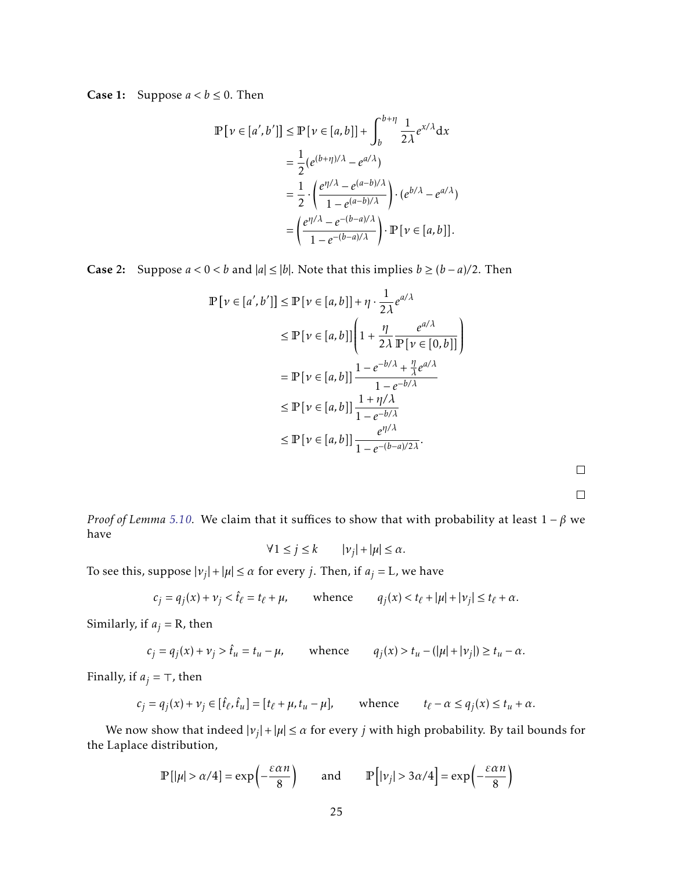**Case 1:** Suppose  $a < b \le 0$ . Then

$$
\mathbb{P}\left[\nu \in [a', b']\right] \le \mathbb{P}\left[\nu \in [a, b]\right] + \int_{b}^{b+\eta} \frac{1}{2\lambda} e^{x/\lambda} dx
$$

$$
= \frac{1}{2} (e^{(b+\eta)/\lambda} - e^{a/\lambda})
$$

$$
= \frac{1}{2} \cdot \left(\frac{e^{\eta/\lambda} - e^{(a-b)/\lambda}}{1 - e^{(a-b)/\lambda}}\right) \cdot (e^{b/\lambda} - e^{a/\lambda})
$$

$$
= \left(\frac{e^{\eta/\lambda} - e^{-(b-a)/\lambda}}{1 - e^{-(b-a)/\lambda}}\right) \cdot \mathbb{P}\left[\nu \in [a, b]\right].
$$

Case 2: Suppose  $a < 0 < b$  and  $|a| ≤ |b|$ . Note that this implies  $b ≥ (b - a)/2$ . Then

$$
\mathbb{P}\left[\nu \in [a', b']\right] \le \mathbb{P}\left[\nu \in [a, b]\right] + \eta \cdot \frac{1}{2\lambda} e^{a/\lambda}
$$
  
\n
$$
\le \mathbb{P}\left[\nu \in [a, b]\right] \left(1 + \frac{\eta}{2\lambda} \frac{e^{a/\lambda}}{\mathbb{P}\left[\nu \in [0, b]\right]}\right)
$$
  
\n
$$
= \mathbb{P}\left[\nu \in [a, b]\right] \frac{1 - e^{-b/\lambda} + \frac{\eta}{\lambda} e^{a/\lambda}}{1 - e^{-b/\lambda}}
$$
  
\n
$$
\le \mathbb{P}\left[\nu \in [a, b]\right] \frac{1 + \eta/\lambda}{1 - e^{-b/\lambda}}
$$
  
\n
$$
\le \mathbb{P}\left[\nu \in [a, b]\right] \frac{e^{\eta/\lambda}}{1 - e^{-(b-a)/2\lambda}}.
$$

 $\Box$ 

 $\Box$ 

*Proof of Lemma [5.10.](#page-23-1)* We claim that it suffices to show that with probability at least 1 − *β* we have

$$
\forall 1 \le j \le k \qquad |v_j| + |\mu| \le \alpha.
$$

To see this, suppose  $|v_j| + |\mu| \le \alpha$  for every *j*. Then, if  $a_j = L$ , we have

$$
c_j = q_j(x) + \nu_j < \hat{t}_\ell = t_\ell + \mu, \qquad \text{whence} \qquad q_j(x) < t_\ell + |\mu| + |\nu_j| \le t_\ell + \alpha.
$$

Similarly, if  $a_j = R$ , then

$$
c_j = q_j(x) + \nu_j > \hat{t}_u = t_u - \mu, \qquad \text{whence} \qquad q_j(x) > t_u - (|\mu| + |\nu_j|) \ge t_u - \alpha.
$$

Finally, if  $a_j = \top$ , then

$$
c_j = q_j(x) + \nu_j \in [\hat{t}_\ell, \hat{t}_u] = [t_\ell + \mu, t_u - \mu], \quad \text{whence} \quad t_\ell - \alpha \le q_j(x) \le t_u + \alpha.
$$

We now show that indeed  $|v_j| + |\mu| \leq \alpha$  for every *j* with high probability. By tail bounds for the Laplace distribution,

$$
\mathbb{P}\left[|\mu| > \alpha/4\right] = \exp\left(-\frac{\varepsilon \alpha n}{8}\right) \qquad \text{and} \qquad \mathbb{P}\left[|\nu_j| > 3\alpha/4\right] = \exp\left(-\frac{\varepsilon \alpha n}{8}\right)
$$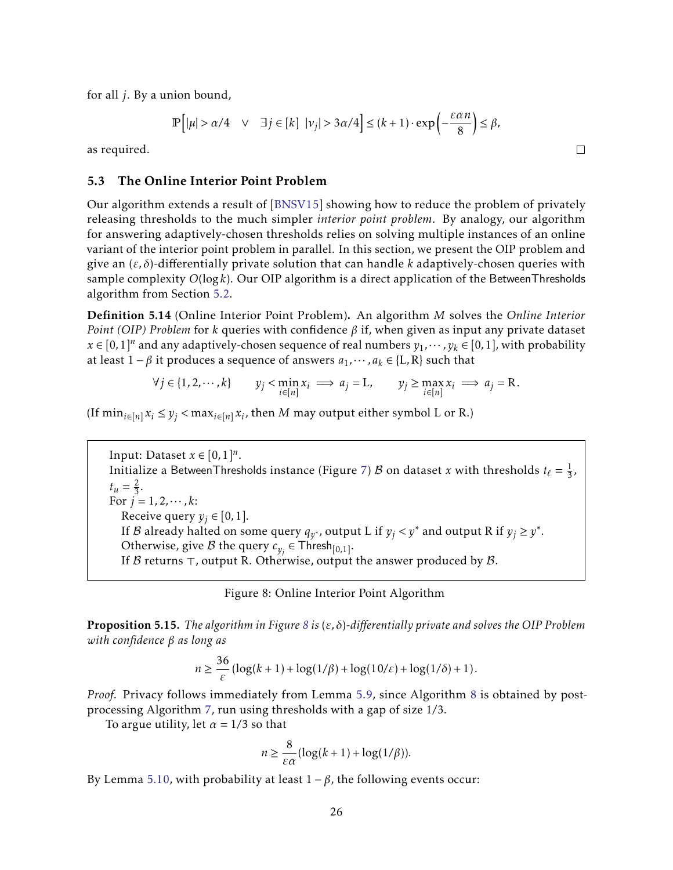for all *j*. By a union bound,

$$
\mathbb{P}\left[|\mu| > \alpha/4 \quad \vee \quad \exists j \in [k] \quad |\nu_j| > 3\alpha/4\right] \le (k+1) \cdot \exp\left(-\frac{\varepsilon \alpha n}{8}\right) \le \beta,
$$

 $\Box$ 

as required.

## <span id="page-27-0"></span>5.3 The Online Interior Point Problem

Our algorithm extends a result of [\[BNSV15\]](#page-31-4) showing how to reduce the problem of privately releasing thresholds to the much simpler *interior point problem*. By analogy, our algorithm for answering adaptively-chosen thresholds relies on solving multiple instances of an online variant of the interior point problem in parallel. In this section, we present the OIP problem and give an (*ε, δ*)-differentially private solution that can handle *k* adaptively-chosen queries with sample complexity *O*(log*k*). Our OIP algorithm is a direct application of the BetweenThresholds algorithm from Section [5.2.](#page-21-0)

Definition 5.14 (Online Interior Point Problem). An algorithm *M* solves the *Online Interior Point (OIP) Problem* for *k* queries with confidence *β* if, when given as input any private dataset *x* ∈ [0, 1]<sup>*n*</sup> and any adaptively-chosen sequence of real numbers  $y_1, \dots, y_k$  ∈ [0, 1], with probability at least 1 −  $\beta$  it produces a sequence of answers  $a_1, \dots, a_k \in \{L, R\}$  such that

$$
\forall j \in \{1, 2, \cdots, k\} \qquad y_j < \min_{i \in [n]} x_i \implies a_j = \mathbf{L}, \qquad y_j \ge \max_{i \in [n]} x_i \implies a_j = \mathbf{R}.
$$

(If  $\min_{i \in [n]} x_i \leq y_j < \max_{i \in [n]} x_i$ , then *M* may output either symbol L or R.)

Input: Dataset  $x \in [0,1]^n$ . Initialize a BetweenThresholds instance (Figure [7\)](#page-22-1)  ${\cal B}$  on dataset  $x$  with thresholds  $t_\ell = \frac{1}{3}$  $\frac{1}{3}$ ,  $t_u = \frac{2}{3}$  $\frac{2}{3}$ . For  $j = 1, 2, \dots, k$ : Receive query  $y_i \in [0,1]$ . If B already halted on some query  $q_{y^*}$ , output L if  $y_j < y^*$  and output R if  $y_j \ge y^*$ . Otherwise, give B the query  $c_{y_j} \in \mathsf{Thresh}_{[0,1]}.$ If  $\beta$  returns  $\top$ , output R. Otherwise, output the answer produced by  $\beta$ .

<span id="page-27-1"></span>

|  |  | Figure 8: Online Interior Point Algorithm |
|--|--|-------------------------------------------|
|  |  |                                           |

<span id="page-27-2"></span>Proposition 5.15. *The algorithm in Figure [8](#page-27-1) is* (*ε, δ*)*-differentially private and solves the OIP Problem with confidence β as long as*

$$
n \geq \frac{36}{\varepsilon} \left( \log(k+1) + \log(1/\beta) + \log(10/\varepsilon) + \log(1/\delta) + 1 \right).
$$

*Proof.* Privacy follows immediately from Lemma [5.9,](#page-23-0) since Algorithm [8](#page-27-1) is obtained by postprocessing Algorithm [7,](#page-22-1) run using thresholds with a gap of size 1*/*3.

To argue utility, let  $\alpha = 1/3$  so that

$$
n \ge \frac{8}{\varepsilon \alpha} (\log(k+1) + \log(1/\beta)).
$$

By Lemma [5.10,](#page-23-1) with probability at least  $1 - \beta$ , the following events occur: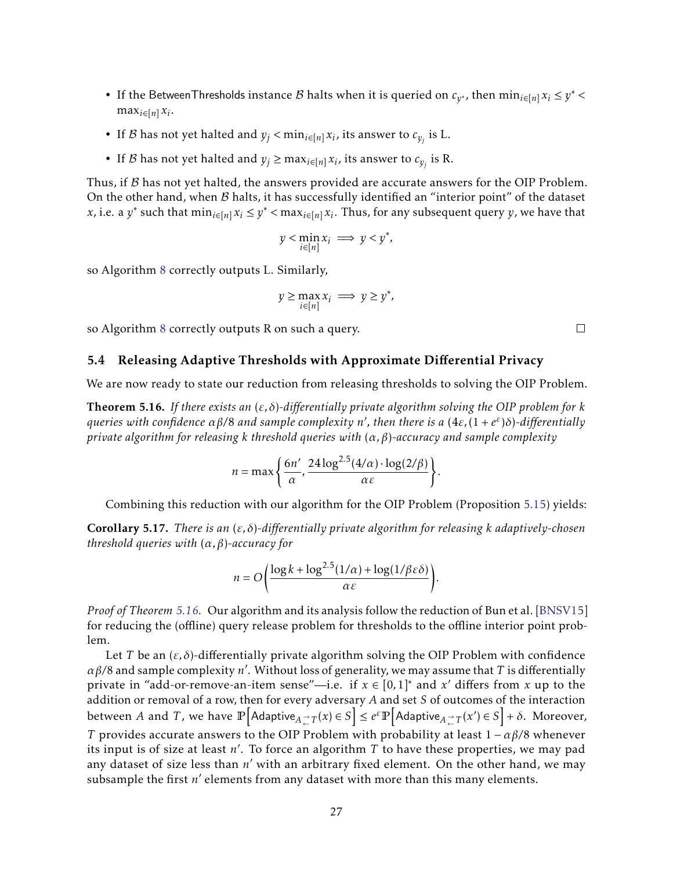- If the BetweenThresholds instance  $B$  halts when it is queried on  $c_{y^*}$ , then  $\min_{i \in [n]} x_i \leq y^*$  $\max_{i \in [n]} x_i$ .
- If *B* has not yet halted and  $y_j < min_{i \in [n]} x_i$ , its answer to  $c_{y_j}$  is L.
- If *B* has not yet halted and  $y_j \ge \max_{i \in [n]} x_i$ , its answer to  $c_{y_j}$  is R.

Thus, if  $\beta$  has not yet halted, the answers provided are accurate answers for the OIP Problem. On the other hand, when  $B$  halts, it has successfully identified an "interior point" of the dataset x, i.e. a  $y^*$  such that  $\min_{i \in [n]} x_i \leq y^*$  <  $\max_{i \in [n]} x_i$ . Thus, for any subsequent query *y*, we have that

$$
y < \min_{i \in [n]} x_i \implies y < y^*,
$$

so Algorithm [8](#page-27-1) correctly outputs L. Similarly,

$$
y \ge \max_{i \in [n]} x_i \implies y \ge y^*,
$$

so Algorithm [8](#page-27-1) correctly outputs R on such a query.

## <span id="page-28-0"></span>5.4 Releasing Adaptive Thresholds with Approximate Differential Privacy

We are now ready to state our reduction from releasing thresholds to solving the OIP Problem.

<span id="page-28-1"></span>Theorem 5.16. *If there exists an* (*ε, δ*)*-differentially private algorithm solving the OIP problem for k queries with confidence αβ/*8 *and sample complexity n* 0 *, then there is a* (4*ε,*(1 + *e ε* )*δ*)*-differentially private algorithm for releasing k threshold queries with* (*α, β*)*-accuracy and sample complexity*

$$
n = \max\left\{\frac{6n'}{\alpha}, \frac{24\log^{2.5}(4/\alpha) \cdot \log(2/\beta)}{\alpha \varepsilon}\right\}.
$$

Combining this reduction with our algorithm for the OIP Problem (Proposition [5.15\)](#page-27-2) yields:

Corollary 5.17. *There is an* (*ε, δ*)*-differentially private algorithm for releasing k adaptively-chosen threshold queries with* (*α, β*)*-accuracy for*

$$
n = O\left(\frac{\log k + \log^{2.5}(1/\alpha) + \log(1/\beta \varepsilon \delta)}{\alpha \varepsilon}\right).
$$

*Proof of Theorem [5.16.](#page-28-1)* Our algorithm and its analysis follow the reduction of Bun et al. [\[BNSV15\]](#page-31-4) for reducing the (offline) query release problem for thresholds to the offline interior point problem.

Let *T* be an  $(\varepsilon, \delta)$ -differentially private algorithm solving the OIP Problem with confidence *αβ/*8 and sample complexity *n* 0 . Without loss of generality, we may assume that *T* is differentially private in "add-or-remove-an-item sense"—i.e. if  $x \in [0,1]$ <sup>\*</sup> and  $x'$  differs from  $x$  up to the addition or removal of a row, then for every adversary *A* and set *S* of outcomes of the interaction  $\text{between}\ A\ \text{and}\ T$ , we have  $\mathbb{P}\Big[\mathsf{Adaptive}_{A\rightleftarrows} \gamma(x)\in S\Big]\leq e^{\varepsilon}\mathbb{P}\Big[\mathsf{Adaptive}_{A\rightleftarrows} \gamma(x')\in S\Big]+\delta. \ \ \text{Moreover,}$ *T* provides accurate answers to the OIP Problem with probability at least  $1 - \alpha \beta/8$  whenever its input is of size at least  $n'$ . To force an algorithm  $\overline{T}$  to have these properties, we may pad any dataset of size less than *n'* with an arbitrary fixed element. On the other hand, we may subsample the first  $n'$  elements from any dataset with more than this many elements.

 $\Box$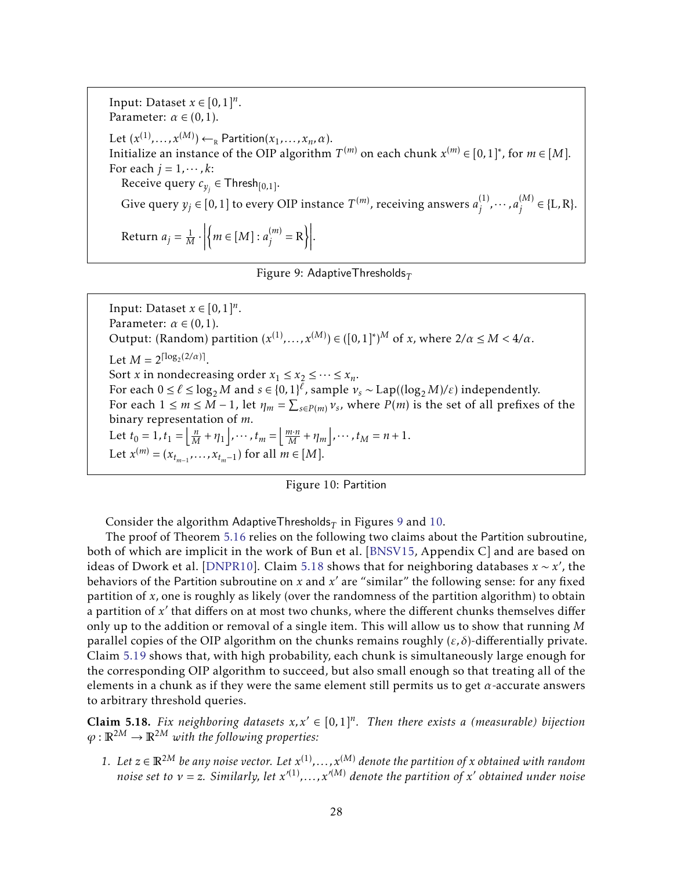Input: Dataset  $x \in [0,1]^n$ . Parameter:  $\alpha \in (0,1)$ . Let  $(x^{(1)},...,x^{(M)}) \leftarrow_R \text{Partition}(x_1,...,x_n,\alpha).$ Initialize an instance of the OIP algorithm  $T^{(m)}$  on each chunk  $x^{(m)} \in [0,1]^*$ , for  $m \in [M]$ . For each  $j = 1, \dots, k$ : Receive query  $c_{y_j} \in \mathsf{Thresh}_{[0,1]}.$ Give query  $y_j \in [0,1]$  to every OIP instance  $T^{(m)}$ , receiving answers  $a_j^{(1)}$  $\binom{(1)}{j}$ ,  $\cdots$  *, a*<sup>(M)</sup>)  $j^{(M)}$  ∈ {L, R}. Return  $a_j = \frac{1}{M} \cdot$  $\left\{m \in [M]: a_i^{(m)}\right\}$  $\begin{bmatrix} m \\ j \end{bmatrix}$  = R .

<span id="page-29-0"></span>

Input: Dataset  $x \in [0,1]^n$ . Parameter:  $\alpha \in (0,1)$ . Output: (Random) partition  $(x^{(1)},...,x^{(M)}) \in ([0,1]^*)^M$  of *x*, where  $2/\alpha \le M < 4/\alpha$ . Let  $M = 2^{\lceil \log_2(2/\alpha) \rceil}$ . Sort *x* in nondecreasing order  $x_1 \le x_2 \le \cdots \le x_n$ . For each  $0 \le \ell \le \log_2 M$  and  $s \in \{0,1\}^{\ell}$ , sample  $v_s \sim \text{Lap}((\log_2 M)/\varepsilon)$  independently. For each  $1 \le m \le M - 1$ , let  $\eta_m = \sum_{s \in P(m)} v_s$ , where  $P(m)$  is the set of all prefixes of the binary representation of *m*. Let  $t_0 = 1$ ,  $t_1 = \left[ \frac{n}{M} + \eta_1 \right]$ ,  $\cdots$ ,  $t_m = \left[ \frac{m \cdot n}{M} + \eta_m \right]$ ,  $\cdots$ ,  $t_M = n + 1$ . Let  $x^{(m)} = (x_{t_{m-1}}, \ldots, x_{t_m-1})$  for all  $m \in [M]$ .

<span id="page-29-1"></span>

Consider the algorithm AdaptiveThresholds $_T$  in Figures [9](#page-29-0) and [10.](#page-29-1)

The proof of Theorem [5.16](#page-28-1) relies on the following two claims about the Partition subroutine, both of which are implicit in the work of Bun et al. [\[BNSV15,](#page-31-4) Appendix C] and are based on ideas of Dwork et al. [\[DNPR10\]](#page-32-4). Claim [5.18](#page-29-2) shows that for neighboring databases  $x \sim x'$ , the behaviors of the Partition subroutine on *x* and  $x'$  are "similar" the following sense: for any fixed partition of *x*, one is roughly as likely (over the randomness of the partition algorithm) to obtain a partition of x' that differs on at most two chunks, where the different chunks themselves differ only up to the addition or removal of a single item. This will allow us to show that running *M* parallel copies of the OIP algorithm on the chunks remains roughly  $(\varepsilon, \delta)$ -differentially private. Claim [5.19](#page-30-1) shows that, with high probability, each chunk is simultaneously large enough for the corresponding OIP algorithm to succeed, but also small enough so that treating all of the elements in a chunk as if they were the same element still permits us to get  $\alpha$ -accurate answers to arbitrary threshold queries.

<span id="page-29-2"></span>**Claim 5.18.** Fix neighboring datasets  $x, x' \in [0,1]^n$ . Then there exists a (measurable) bijection  $\varphi : \mathbb{R}^{2M} \to \mathbb{R}^{2M}$  *with the following properties:* 

1. Let  $z \in \mathbb{R}^{2M}$  be any noise vector. Let  $x^{(1)}$ ,...,  $x^{(M)}$  denote the partition of *x* obtained with random *noise set to*  $v = z$ *. Similarly, let*  $x'^{(1)}$ *,...,x*<sup> $\prime$ (*M*) *denote the partition of x*' *obtained under noise*</sup>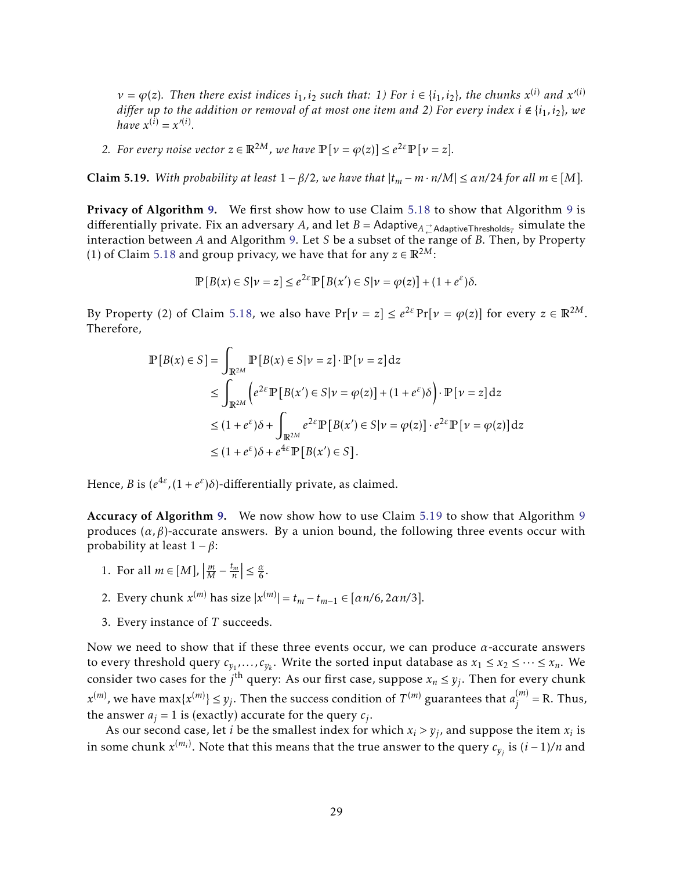$\nu = \varphi(z)$ . Then there exist indices  $i_1, i_2$  such that: 1) For  $i \in \{i_1, i_2\}$ , the chunks  $x^{(i)}$  and  $x'^{(i)}$ *differ up to the addition or removal of at most one item and 2) For every index*  $i \notin \{i_1, i_2\}$ *, we have*  $x^{(i)} = x'^{(i)}$ .

*2. For every noise vector*  $z \in \mathbb{R}^{2M}$ *, we have*  $\mathbb{P}[v = \varphi(z)] \leq e^{2\epsilon} \mathbb{P}[v = z]$ *.* 

<span id="page-30-1"></span>**Claim 5.19.** *With probability at least*  $1 - \beta/2$ *, we have that*  $|t_m - m \cdot n/M| \le \alpha n/24$  for all  $m \in [M]$ *.* 

Privacy of Algorithm [9.](#page-29-0) We first show how to use Claim [5.18](#page-29-2) to show that Algorithm [9](#page-29-0) is differentially private. Fix an adversary  $A$ , and let  $B =$  Adaptive $_A^{\to}$ <sub>AdaptiveThresholds ${}_T$  simulate the</sub> interaction between *A* and Algorithm [9.](#page-29-0) Let *S* be a subset of the range of *B*. Then, by Property (1) of Claim [5.18](#page-29-2) and group privacy, we have that for any  $z \in \mathbb{R}^{2M}$ :

$$
\mathbb{P}[B(x) \in S | \nu = z] \le e^{2\varepsilon} \mathbb{P}[B(x') \in S | \nu = \varphi(z)] + (1 + e^{\varepsilon})\delta.
$$

By Property (2) of Claim [5.18,](#page-29-2) we also have  $Pr[\nu = z] \le e^{2\varepsilon} Pr[\nu = \varphi(z)]$  for every  $z \in \mathbb{R}^{2M}$ . Therefore,

$$
\mathbb{P}[B(x) \in S] = \int_{\mathbb{R}^{2M}} \mathbb{P}[B(x) \in S | \nu = z] \cdot \mathbb{P}[\nu = z] dz
$$
  
\n
$$
\leq \int_{\mathbb{R}^{2M}} \left( e^{2\varepsilon} \mathbb{P}[B(x') \in S | \nu = \varphi(z)] + (1 + e^{\varepsilon}) \delta \right) \cdot \mathbb{P}[\nu = z] dz
$$
  
\n
$$
\leq (1 + e^{\varepsilon}) \delta + \int_{\mathbb{R}^{2M}} e^{2\varepsilon} \mathbb{P}[B(x') \in S | \nu = \varphi(z)] \cdot e^{2\varepsilon} \mathbb{P}[\nu = \varphi(z)] dz
$$
  
\n
$$
\leq (1 + e^{\varepsilon}) \delta + e^{4\varepsilon} \mathbb{P}[B(x') \in S].
$$

Hence, *B* is  $(e^{4\varepsilon}, (1+e^{\varepsilon})\delta)$ -differentially private, as claimed.

Accuracy of Algorithm [9.](#page-29-0) We now show how to use Claim [5.19](#page-30-1) to show that Algorithm [9](#page-29-0) produces  $(\alpha, \beta)$ -accurate answers. By a union bound, the following three events occur with probability at least 1 − *β*:

- 1. For all  $m \in [M]$ ,  $\left| \frac{m}{M} - \frac{t_m}{n} \right| \leq \frac{\alpha}{6}.$
- 2. Every chunk  $x^{(m)}$  has size  $|x^{(m)}| = t_m t_{m-1} \in [\alpha n/6, 2\alpha n/3].$
- <span id="page-30-0"></span>3. Every instance of *T* succeeds.

Now we need to show that if these three events occur, we can produce *α*-accurate answers to every threshold query  $c_{y_1},...,c_{y_k}$ . Write the sorted input database as  $x_1 \le x_2 \le ... \le x_n$ . We consider two cases for the  $j^{\text{th}}$  query: As our first case, suppose  $x_n \leq y_j$ . Then for every chunk  $x^{(m)}$ , we have max{ $x^{(m)}$ }  $\leq y_j$ . Then the success condition of  $T^{(m)}$  guarantees that  $a_j^{(m)}$  $j^{(m)}$  = R. Thus, the answer  $a_j = 1$  is (exactly) accurate for the query  $c_j$ .

As our second case, let *i* be the smallest index for which  $x_i > y_j$ , and suppose the item  $x_i$  is in some chunk  $x^{(m_i)}$ . Note that this means that the true answer to the query  $c_{y_j}$  is  $(i-1)/n$  and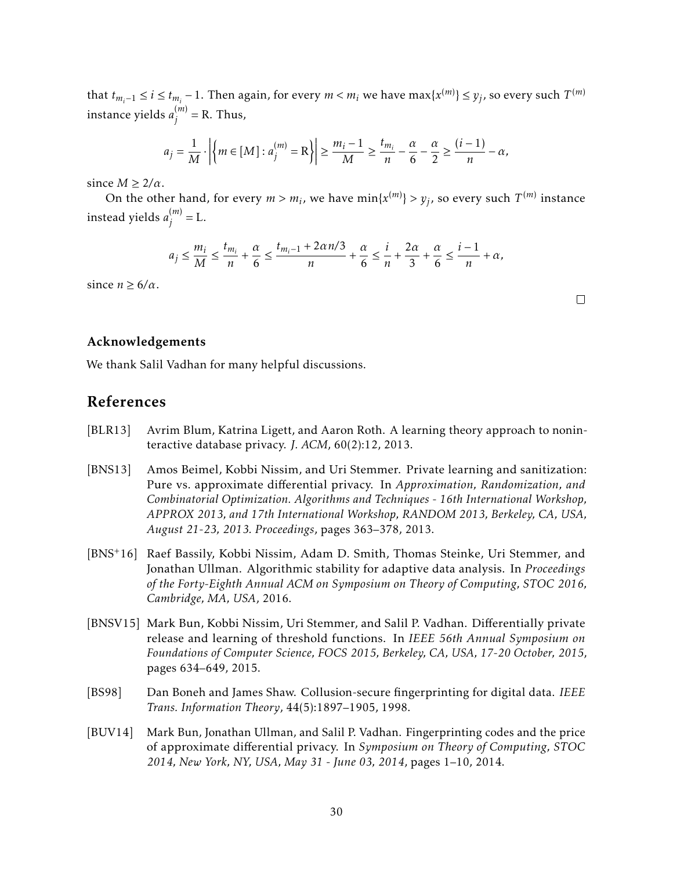that  $t_{m_i-1} \le i \le t_{m_i}-1$ . Then again, for every  $m < m_i$  we have  $\max\{x^{(m)}\} \le y_j$ , so every such  $T^{(m)}$ instance yields *a* (*m*)  $j^{(m)}$  = R. Thus,

$$
a_j = \frac{1}{M} \cdot \left| \left\{ m \in [M] : a_j^{(m)} = R \right\} \right| \ge \frac{m_i - 1}{M} \ge \frac{t_{m_i}}{n} - \frac{\alpha}{6} - \frac{\alpha}{2} \ge \frac{(i - 1)}{n} - \alpha,
$$

since  $M \geq 2/\alpha$ .

On the other hand, for every  $m > m_i$ , we have  $\min\{x^{(m)}\} > y_j$ , so every such  $T^{(m)}$  instance instead yields *a* (*m*)  $j^{(m)} = L.$ 

$$
a_j \le \frac{m_i}{M} \le \frac{t_{m_i}}{n} + \frac{\alpha}{6} \le \frac{t_{m_i-1} + 2\alpha n/3}{n} + \frac{\alpha}{6} \le \frac{i}{n} + \frac{2\alpha}{3} + \frac{\alpha}{6} \le \frac{i-1}{n} + \alpha,
$$

since  $n \geq 6/\alpha$ .

### <span id="page-31-0"></span>Acknowledgements

We thank Salil Vadhan for many helpful discussions.

# References

- <span id="page-31-6"></span>[BLR13] Avrim Blum, Katrina Ligett, and Aaron Roth. A learning theory approach to noninteractive database privacy. *J. ACM*, 60(2):12, 2013.
- <span id="page-31-3"></span>[BNS13] Amos Beimel, Kobbi Nissim, and Uri Stemmer. Private learning and sanitization: Pure vs. approximate differential privacy. In *Approximation, Randomization, and Combinatorial Optimization. Algorithms and Techniques - 16th International Workshop, APPROX 2013, and 17th International Workshop, RANDOM 2013, Berkeley, CA, USA, August 21-23, 2013. Proceedings*, pages 363–378, 2013.
- <span id="page-31-2"></span>[BNS+16] Raef Bassily, Kobbi Nissim, Adam D. Smith, Thomas Steinke, Uri Stemmer, and Jonathan Ullman. Algorithmic stability for adaptive data analysis. In *Proceedings of the Forty-Eighth Annual ACM on Symposium on Theory of Computing, STOC 2016, Cambridge, MA, USA*, 2016.
- <span id="page-31-4"></span>[BNSV15] Mark Bun, Kobbi Nissim, Uri Stemmer, and Salil P. Vadhan. Differentially private release and learning of threshold functions. In *IEEE 56th Annual Symposium on Foundations of Computer Science, FOCS 2015, Berkeley, CA, USA, 17-20 October, 2015*, pages 634–649, 2015.
- <span id="page-31-5"></span>[BS98] Dan Boneh and James Shaw. Collusion-secure fingerprinting for digital data. *IEEE Trans. Information Theory*, 44(5):1897–1905, 1998.
- <span id="page-31-1"></span>[BUV14] Mark Bun, Jonathan Ullman, and Salil P. Vadhan. Fingerprinting codes and the price of approximate differential privacy. In *Symposium on Theory of Computing, STOC 2014, New York, NY, USA, May 31 - June 03, 2014*, pages 1–10, 2014.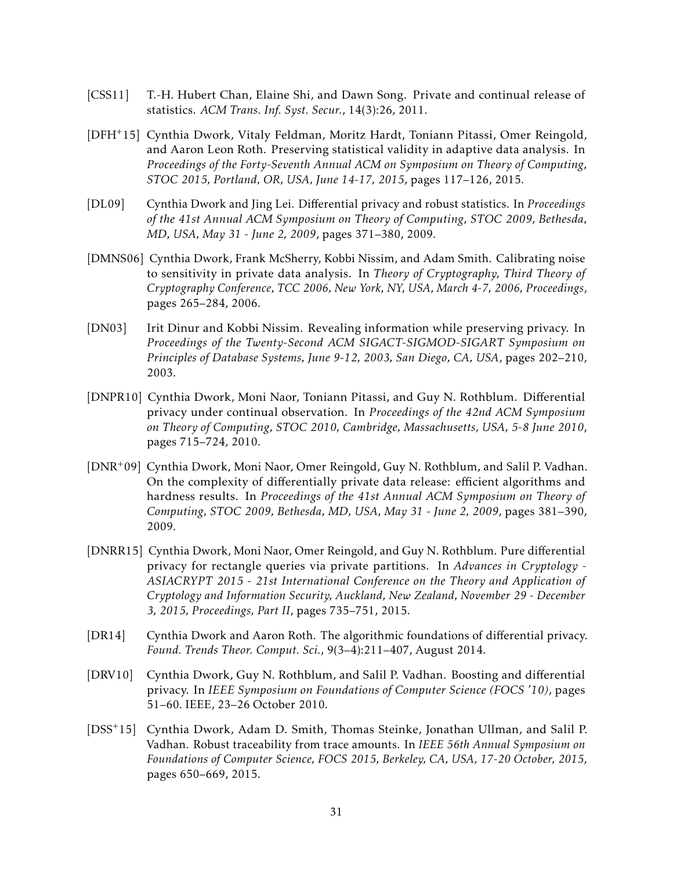- <span id="page-32-5"></span>[CSS11] T.-H. Hubert Chan, Elaine Shi, and Dawn Song. Private and continual release of statistics. *ACM Trans. Inf. Syst. Secur.*, 14(3):26, 2011.
- <span id="page-32-3"></span>[DFH+15] Cynthia Dwork, Vitaly Feldman, Moritz Hardt, Toniann Pitassi, Omer Reingold, and Aaron Leon Roth. Preserving statistical validity in adaptive data analysis. In *Proceedings of the Forty-Seventh Annual ACM on Symposium on Theory of Computing, STOC 2015, Portland, OR, USA, June 14-17, 2015*, pages 117–126, 2015.
- <span id="page-32-8"></span>[DL09] Cynthia Dwork and Jing Lei. Differential privacy and robust statistics. In *Proceedings of the 41st Annual ACM Symposium on Theory of Computing, STOC 2009, Bethesda, MD, USA, May 31 - June 2, 2009*, pages 371–380, 2009.
- <span id="page-32-0"></span>[DMNS06] Cynthia Dwork, Frank McSherry, Kobbi Nissim, and Adam Smith. Calibrating noise to sensitivity in private data analysis. In *Theory of Cryptography, Third Theory of Cryptography Conference, TCC 2006, New York, NY, USA, March 4-7, 2006, Proceedings*, pages 265–284, 2006.
- <span id="page-32-2"></span>[DN03] Irit Dinur and Kobbi Nissim. Revealing information while preserving privacy. In *Proceedings of the Twenty-Second ACM SIGACT-SIGMOD-SIGART Symposium on Principles of Database Systems, June 9-12, 2003, San Diego, CA, USA*, pages 202–210, 2003.
- <span id="page-32-4"></span>[DNPR10] Cynthia Dwork, Moni Naor, Toniann Pitassi, and Guy N. Rothblum. Differential privacy under continual observation. In *Proceedings of the 42nd ACM Symposium on Theory of Computing, STOC 2010, Cambridge, Massachusetts, USA, 5-8 June 2010*, pages 715–724, 2010.
- <span id="page-32-10"></span>[DNR+09] Cynthia Dwork, Moni Naor, Omer Reingold, Guy N. Rothblum, and Salil P. Vadhan. On the complexity of differentially private data release: efficient algorithms and hardness results. In *Proceedings of the 41st Annual ACM Symposium on Theory of Computing, STOC 2009, Bethesda, MD, USA, May 31 - June 2, 2009*, pages 381–390, 2009.
- <span id="page-32-6"></span>[DNRR15] Cynthia Dwork, Moni Naor, Omer Reingold, and Guy N. Rothblum. Pure differential privacy for rectangle queries via private partitions. In *Advances in Cryptology - ASIACRYPT 2015 - 21st International Conference on the Theory and Application of Cryptology and Information Security, Auckland, New Zealand, November 29 - December 3, 2015, Proceedings, Part II*, pages 735–751, 2015.
- <span id="page-32-7"></span>[DR14] Cynthia Dwork and Aaron Roth. The algorithmic foundations of differential privacy. *Found. Trends Theor. Comput. Sci.*, 9(3–4):211–407, August 2014.
- <span id="page-32-1"></span>[DRV10] Cynthia Dwork, Guy N. Rothblum, and Salil P. Vadhan. Boosting and differential privacy. In *IEEE Symposium on Foundations of Computer Science (FOCS '10)*, pages 51–60. IEEE, 23–26 October 2010.
- <span id="page-32-9"></span>[DSS+15] Cynthia Dwork, Adam D. Smith, Thomas Steinke, Jonathan Ullman, and Salil P. Vadhan. Robust traceability from trace amounts. In *IEEE 56th Annual Symposium on Foundations of Computer Science, FOCS 2015, Berkeley, CA, USA, 17-20 October, 2015*, pages 650–669, 2015.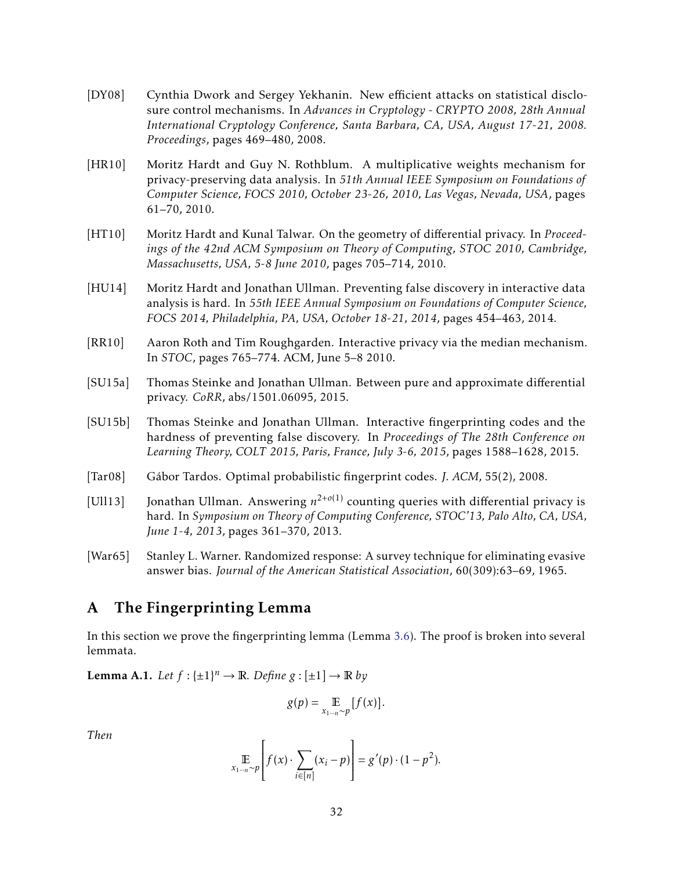- <span id="page-33-1"></span>[DY08] Cynthia Dwork and Sergey Yekhanin. New efficient attacks on statistical disclosure control mechanisms. In *Advances in Cryptology - CRYPTO 2008, 28th Annual International Cryptology Conference, Santa Barbara, CA, USA, August 17-21, 2008. Proceedings*, pages 469–480, 2008.
- <span id="page-33-2"></span>[HR10] Moritz Hardt and Guy N. Rothblum. A multiplicative weights mechanism for privacy-preserving data analysis. In *51th Annual IEEE Symposium on Foundations of Computer Science, FOCS 2010, October 23-26, 2010, Las Vegas, Nevada, USA*, pages 61–70, 2010.
- <span id="page-33-8"></span>[HT10] Moritz Hardt and Kunal Talwar. On the geometry of differential privacy. In *Proceedings of the 42nd ACM Symposium on Theory of Computing, STOC 2010, Cambridge, Massachusetts, USA, 5-8 June 2010*, pages 705–714, 2010.
- <span id="page-33-3"></span>[HU14] Moritz Hardt and Jonathan Ullman. Preventing false discovery in interactive data analysis is hard. In *55th IEEE Annual Symposium on Foundations of Computer Science, FOCS 2014, Philadelphia, PA, USA, October 18-21, 2014*, pages 454–463, 2014.
- <span id="page-33-9"></span>[RR10] Aaron Roth and Tim Roughgarden. Interactive privacy via the median mechanism. In *STOC*, pages 765–774. ACM, June 5–8 2010.
- <span id="page-33-5"></span>[SU15a] Thomas Steinke and Jonathan Ullman. Between pure and approximate differential privacy. *CoRR*, abs/1501.06095, 2015.
- <span id="page-33-4"></span>[SU15b] Thomas Steinke and Jonathan Ullman. Interactive fingerprinting codes and the hardness of preventing false discovery. In *Proceedings of The 28th Conference on Learning Theory, COLT 2015, Paris, France, July 3-6, 2015*, pages 1588–1628, 2015.
- <span id="page-33-6"></span>[Tar08] Gábor Tardos. Optimal probabilistic fingerprint codes. *J. ACM*, 55(2), 2008.
- <span id="page-33-10"></span>[Ull13] Jonathan Ullman. Answering  $n^{2+o(1)}$  counting queries with differential privacy is hard. In *Symposium on Theory of Computing Conference, STOC'13, Palo Alto, CA, USA, June 1-4, 2013*, pages 361–370, 2013.
- <span id="page-33-7"></span>[War65] Stanley L. Warner. Randomized response: A survey technique for eliminating evasive answer bias. *Journal of the American Statistical Association*, 60(309):63–69, 1965.

# <span id="page-33-0"></span>A The Fingerprinting Lemma

In this section we prove the fingerprinting lemma (Lemma [3.6\)](#page-12-2). The proof is broken into several lemmata.

<span id="page-33-11"></span>**Lemma A.1.** Let  $f: {\pm 1}^n \to \mathbb{R}$ . Define  $g: {\pm 1} \to \mathbb{R}$  by

$$
g(p) = \mathop{\mathbb{E}}_{x_{1\cdots n} \sim p} [f(x)].
$$

*Then*

$$
\mathop{\mathbb{E}}_{x_{1\cdots n}\sim p}\left[f(x)\cdot\sum_{i\in[n]}(x_i-p)\right]=g'(p)\cdot(1-p^2).
$$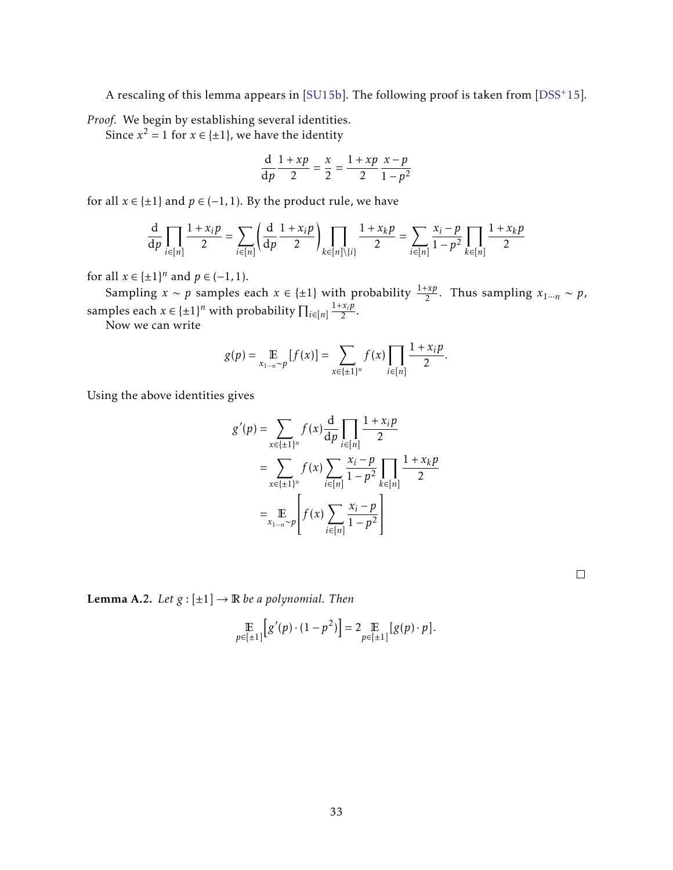A rescaling of this lemma appears in [\[SU15b\]](#page-33-4). The following proof is taken from [\[DSS](#page-32-9)+15].

*Proof.* We begin by establishing several identities.

Since  $x^2 = 1$  for  $x \in \{\pm 1\}$ , we have the identity

$$
\frac{d}{dp}\frac{1+xp}{2} = \frac{x}{2} = \frac{1+xp}{2}\frac{x-p}{1-p^2}
$$

for all  $x \in \{\pm 1\}$  and  $p \in (-1, 1)$ . By the product rule, we have

$$
\frac{d}{dp} \prod_{i \in [n]} \frac{1 + x_i p}{2} = \sum_{i \in [n]} \left( \frac{d}{dp} \frac{1 + x_i p}{2} \right) \prod_{k \in [n] \setminus \{i\}} \frac{1 + x_k p}{2} = \sum_{i \in [n]} \frac{x_i - p}{1 - p^2} \prod_{k \in [n]} \frac{1 + x_k p}{2}
$$

for all  $x \in {\pm 1}^n$  and  $p \in (-1, 1)$ .

Sampling *x* ~ *p* samples each  $x \in \{\pm 1\}$  with probability  $\frac{1+xp}{2}$ . Thus sampling  $x_{1\cdots n} \sim p$ , samples each  $x \in {\pm 1}^n$  with probability  $\prod_{i \in [n]} \frac{1 + x_i p}{2}$  $\frac{\lambda_i p}{2}$ .

Now we can write

$$
g(p) = \mathop{\mathbb{E}}_{x_{1\cdots n}\sim p} [f(x)] = \sum_{x\in \{\pm 1\}^n} f(x) \prod_{i\in [n]} \frac{1+x_i p}{2}.
$$

Using the above identities gives

$$
g'(p) = \sum_{x \in \{\pm 1\}^n} f(x) \frac{d}{dp} \prod_{i \in [n]} \frac{1 + x_i p}{2}
$$
  
= 
$$
\sum_{x \in \{\pm 1\}^n} f(x) \sum_{i \in [n]} \frac{x_i - p}{1 - p^2} \prod_{k \in [n]} \frac{1 + x_k p}{2}
$$
  
= 
$$
\mathbb{E}_{x_{1 \dots n} \sim p} \left[ f(x) \sum_{i \in [n]} \frac{x_i - p}{1 - p^2} \right]
$$

 $\Box$ 

<span id="page-34-0"></span>**Lemma A.2.** *Let*  $g: [\pm 1] \rightarrow \mathbb{R}$  *be a polynomial. Then* 

$$
\mathop{\mathbb{E}}_{p \in [\pm 1]} \left[ g'(p) \cdot (1-p^2) \right] = 2 \mathop{\mathbb{E}}_{p \in [\pm 1]} \left[ g(p) \cdot p \right].
$$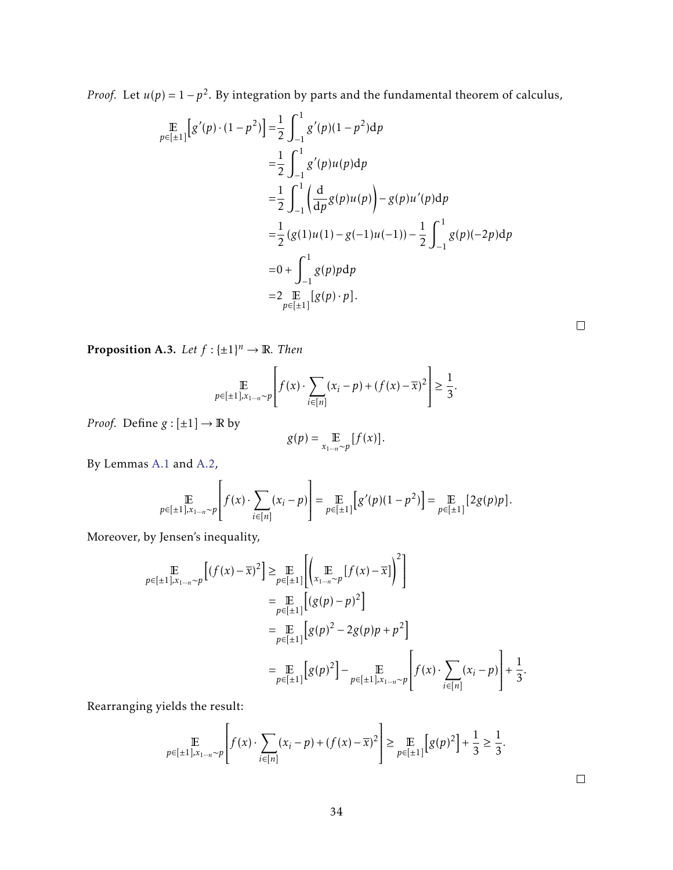*Proof.* Let  $u(p) = 1 - p^2$ . By integration by parts and the fundamental theorem of calculus,

$$
\begin{split} \mathbb{E}_{p \in [\pm 1]}[g'(p) \cdot (1 - p^2)] &= \frac{1}{2} \int_{-1}^{1} g'(p)(1 - p^2) \, \mathrm{d}p \\ &= \frac{1}{2} \int_{-1}^{1} g'(p) u(p) \, \mathrm{d}p \\ &= \frac{1}{2} \int_{-1}^{1} \left( \frac{\mathrm{d}}{\mathrm{d}p} g(p) u(p) \right) - g(p) u'(p) \, \mathrm{d}p \\ &= \frac{1}{2} \left( g(1) u(1) - g(-1) u(-1) \right) - \frac{1}{2} \int_{-1}^{1} g(p)(-2p) \, \mathrm{d}p \\ &= 0 + \int_{-1}^{1} g(p) p \, \mathrm{d}p \\ &= 2 \int_{p \in [\pm 1]} [g(p) \cdot p]. \end{split}
$$

 $\Box$ 

<span id="page-35-0"></span>**Proposition A.3.** Let  $f: \{\pm 1\}^n \to \mathbb{R}$ . Then

$$
\mathop{\mathbb{E}}_{p \in [\pm 1], x_{1 \cdots n} \sim p} \left[ f(x) \cdot \sum_{i \in [n]} (x_i - p) + (f(x) - \overline{x})^2 \right] \ge \frac{1}{3}.
$$

*Proof.* Define  $g: [\pm 1] \rightarrow \mathbb{R}$  by

$$
g(p) = \mathop{\mathbb{E}}_{x_{1\cdots n} \sim p} [f(x)].
$$

By Lemmas [A.1](#page-33-11) and [A.2,](#page-34-0)

$$
\mathop{\mathbb{E}}_{p \in [\pm 1], x_{1 \cdots n} \sim p} \left[ f(x) \cdot \sum_{i \in [n]} (x_i - p) \right] = \mathop{\mathbb{E}}_{p \in [\pm 1]} \left[ g'(p)(1 - p^2) \right] = \mathop{\mathbb{E}}_{p \in [\pm 1]} \left[ 2g(p)p \right].
$$

Moreover, by Jensen's inequality,

$$
\mathop{\mathbb{E}}_{p \in [\pm 1], x_{1 \dots n} \sim p} [(f(x) - \overline{x})^2] \geq \mathop{\mathbb{E}}_{p \in [\pm 1]} [(x_{1 \dots n} \sim p} [f(x) - \overline{x}])^2]
$$
\n
$$
= \mathop{\mathbb{E}}_{p \in [\pm 1]} [(g(p) - p)^2]
$$
\n
$$
= \mathop{\mathbb{E}}_{p \in [\pm 1]} [g(p)^2 - 2g(p)p + p^2]
$$
\n
$$
= \mathop{\mathbb{E}}_{p \in [\pm 1]} [g(p)^2] - \mathop{\mathbb{E}}_{p \in [\pm 1], x_{1 \dots n} \sim p} [f(x) \cdot \sum_{i \in [n]} (x_i - p)] + \frac{1}{3}.
$$

Rearranging yields the result:

$$
\mathop{\mathbb{E}}_{p \in [\pm 1], x_{1 \cdots n} \sim p} \left[ f(x) \cdot \sum_{i \in [n]} (x_i - p) + (f(x) - \overline{x})^2 \right] \ge \mathop{\mathbb{E}}_{p \in [\pm 1]} \left[ g(p)^2 \right] + \frac{1}{3} \ge \frac{1}{3}.
$$

 $\hfill \square$